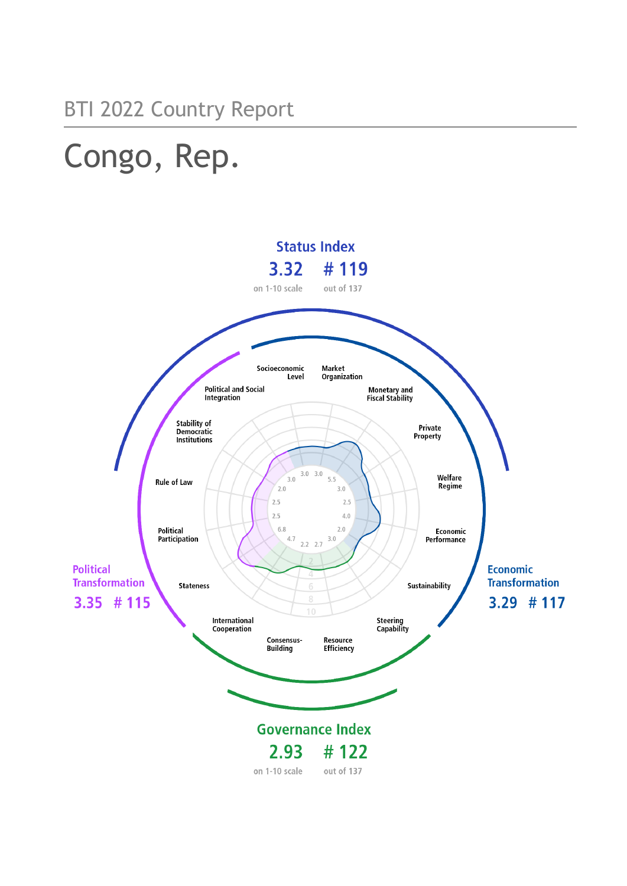# Congo, Rep.

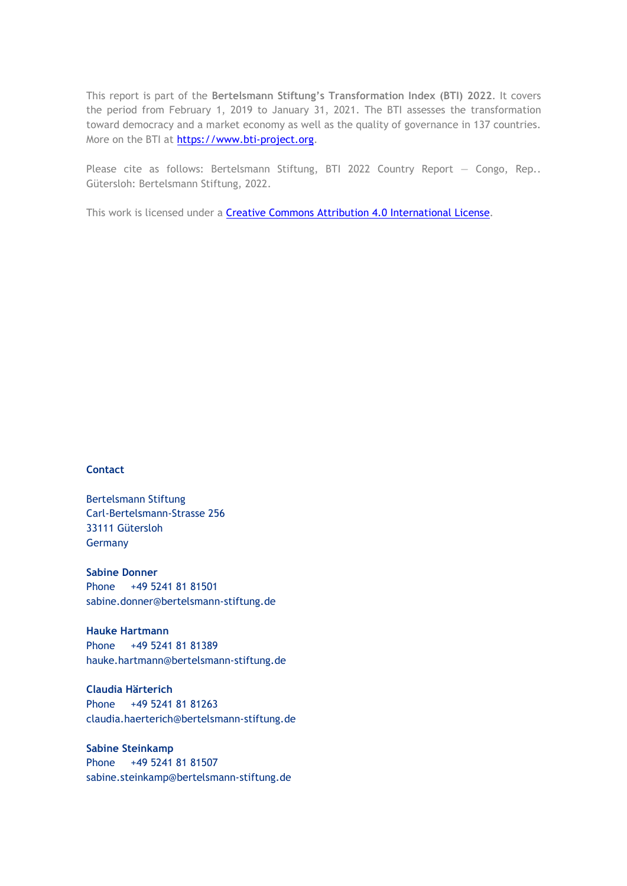This report is part of the **Bertelsmann Stiftung's Transformation Index (BTI) 2022**. It covers the period from February 1, 2019 to January 31, 2021. The BTI assesses the transformation toward democracy and a market economy as well as the quality of governance in 137 countries. More on the BTI at [https://www.bti-project.org.](https://www.bti-project.org/)

Please cite as follows: Bertelsmann Stiftung, BTI 2022 Country Report - Congo, Rep.. Gütersloh: Bertelsmann Stiftung, 2022.

This work is licensed under a **Creative Commons Attribution 4.0 International License**.

### **Contact**

Bertelsmann Stiftung Carl-Bertelsmann-Strasse 256 33111 Gütersloh Germany

**Sabine Donner** Phone +49 5241 81 81501 sabine.donner@bertelsmann-stiftung.de

**Hauke Hartmann** Phone +49 5241 81 81389 hauke.hartmann@bertelsmann-stiftung.de

**Claudia Härterich** Phone +49 5241 81 81263 claudia.haerterich@bertelsmann-stiftung.de

### **Sabine Steinkamp** Phone +49 5241 81 81507 sabine.steinkamp@bertelsmann-stiftung.de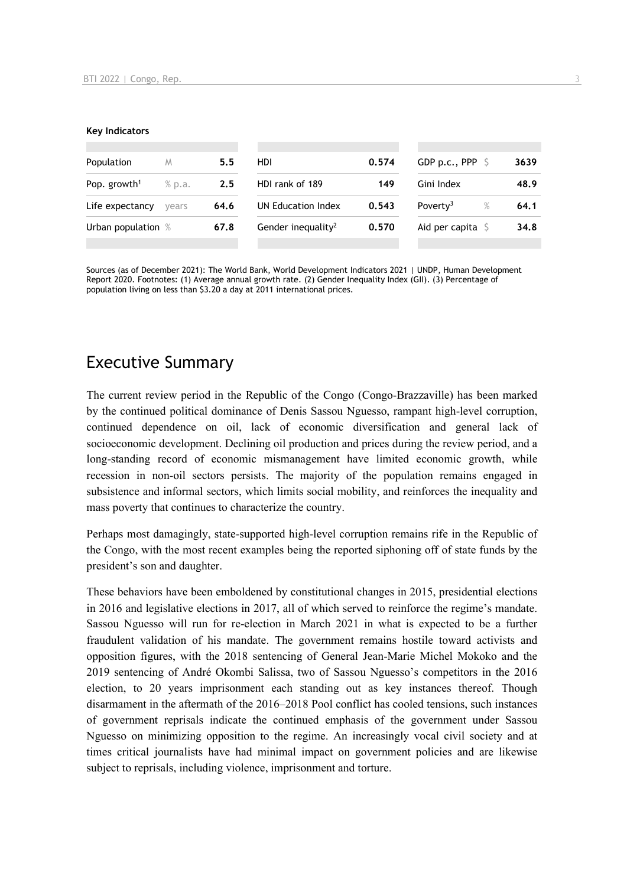### **Key Indicators**

| Population               | M      | 5.5  | HDI                            | 0.574 | GDP p.c., PPP $\hat{S}$   | 3639 |
|--------------------------|--------|------|--------------------------------|-------|---------------------------|------|
| Pop. growth <sup>1</sup> | % p.a. | 2.5  | HDI rank of 189                | 149   | Gini Index                | 48.9 |
| Life expectancy          | vears  | 64.6 | UN Education Index             | 0.543 | Poverty <sup>3</sup><br>% | 64.1 |
| Urban population %       |        | 67.8 | Gender inequality <sup>2</sup> | 0.570 | Aid per capita $\sqrt{5}$ | 34.8 |
|                          |        |      |                                |       |                           |      |

Sources (as of December 2021): The World Bank, World Development Indicators 2021 | UNDP, Human Development Report 2020. Footnotes: (1) Average annual growth rate. (2) Gender Inequality Index (GII). (3) Percentage of population living on less than \$3.20 a day at 2011 international prices.

### Executive Summary

The current review period in the Republic of the Congo (Congo-Brazzaville) has been marked by the continued political dominance of Denis Sassou Nguesso, rampant high-level corruption, continued dependence on oil, lack of economic diversification and general lack of socioeconomic development. Declining oil production and prices during the review period, and a long-standing record of economic mismanagement have limited economic growth, while recession in non-oil sectors persists. The majority of the population remains engaged in subsistence and informal sectors, which limits social mobility, and reinforces the inequality and mass poverty that continues to characterize the country.

Perhaps most damagingly, state-supported high-level corruption remains rife in the Republic of the Congo, with the most recent examples being the reported siphoning off of state funds by the president's son and daughter.

These behaviors have been emboldened by constitutional changes in 2015, presidential elections in 2016 and legislative elections in 2017, all of which served to reinforce the regime's mandate. Sassou Nguesso will run for re-election in March 2021 in what is expected to be a further fraudulent validation of his mandate. The government remains hostile toward activists and opposition figures, with the 2018 sentencing of General Jean-Marie Michel Mokoko and the 2019 sentencing of André Okombi Salissa, two of Sassou Nguesso's competitors in the 2016 election, to 20 years imprisonment each standing out as key instances thereof. Though disarmament in the aftermath of the 2016–2018 Pool conflict has cooled tensions, such instances of government reprisals indicate the continued emphasis of the government under Sassou Nguesso on minimizing opposition to the regime. An increasingly vocal civil society and at times critical journalists have had minimal impact on government policies and are likewise subject to reprisals, including violence, imprisonment and torture.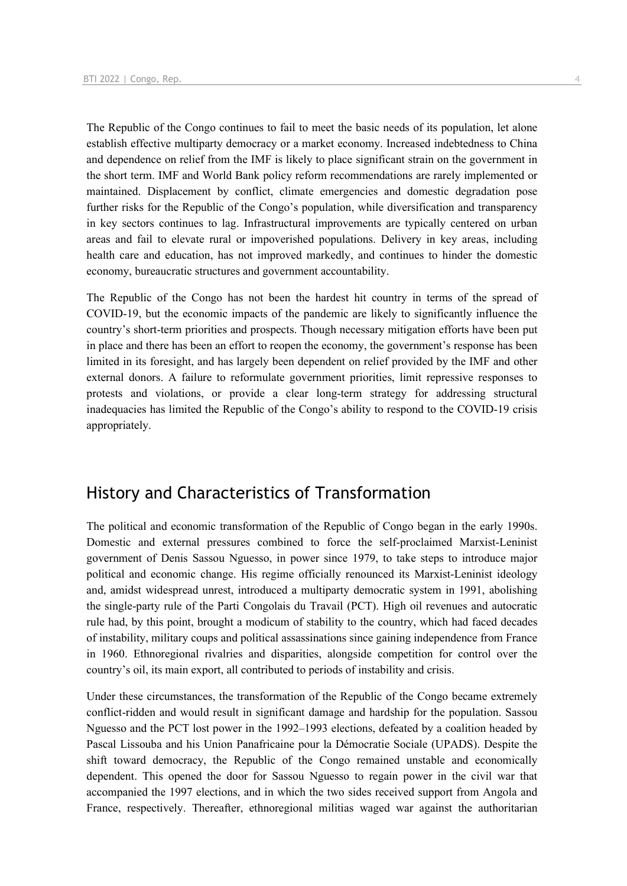The Republic of the Congo continues to fail to meet the basic needs of its population, let alone establish effective multiparty democracy or a market economy. Increased indebtedness to China and dependence on relief from the IMF is likely to place significant strain on the government in the short term. IMF and World Bank policy reform recommendations are rarely implemented or maintained. Displacement by conflict, climate emergencies and domestic degradation pose further risks for the Republic of the Congo's population, while diversification and transparency in key sectors continues to lag. Infrastructural improvements are typically centered on urban areas and fail to elevate rural or impoverished populations. Delivery in key areas, including health care and education, has not improved markedly, and continues to hinder the domestic economy, bureaucratic structures and government accountability.

The Republic of the Congo has not been the hardest hit country in terms of the spread of COVID-19, but the economic impacts of the pandemic are likely to significantly influence the country's short-term priorities and prospects. Though necessary mitigation efforts have been put in place and there has been an effort to reopen the economy, the government's response has been limited in its foresight, and has largely been dependent on relief provided by the IMF and other external donors. A failure to reformulate government priorities, limit repressive responses to protests and violations, or provide a clear long-term strategy for addressing structural inadequacies has limited the Republic of the Congo's ability to respond to the COVID-19 crisis appropriately.

### History and Characteristics of Transformation

The political and economic transformation of the Republic of Congo began in the early 1990s. Domestic and external pressures combined to force the self-proclaimed Marxist-Leninist government of Denis Sassou Nguesso, in power since 1979, to take steps to introduce major political and economic change. His regime officially renounced its Marxist-Leninist ideology and, amidst widespread unrest, introduced a multiparty democratic system in 1991, abolishing the single-party rule of the Parti Congolais du Travail (PCT). High oil revenues and autocratic rule had, by this point, brought a modicum of stability to the country, which had faced decades of instability, military coups and political assassinations since gaining independence from France in 1960. Ethnoregional rivalries and disparities, alongside competition for control over the country's oil, its main export, all contributed to periods of instability and crisis.

Under these circumstances, the transformation of the Republic of the Congo became extremely conflict-ridden and would result in significant damage and hardship for the population. Sassou Nguesso and the PCT lost power in the 1992–1993 elections, defeated by a coalition headed by Pascal Lissouba and his Union Panafricaine pour la Démocratie Sociale (UPADS). Despite the shift toward democracy, the Republic of the Congo remained unstable and economically dependent. This opened the door for Sassou Nguesso to regain power in the civil war that accompanied the 1997 elections, and in which the two sides received support from Angola and France, respectively. Thereafter, ethnoregional militias waged war against the authoritarian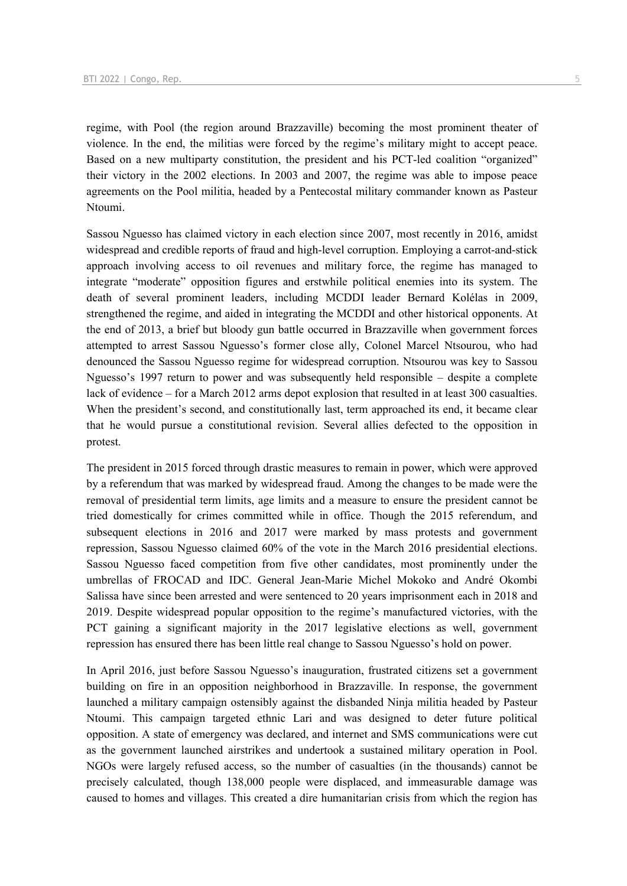regime, with Pool (the region around Brazzaville) becoming the most prominent theater of violence. In the end, the militias were forced by the regime's military might to accept peace. Based on a new multiparty constitution, the president and his PCT-led coalition "organized" their victory in the 2002 elections. In 2003 and 2007, the regime was able to impose peace agreements on the Pool militia, headed by a Pentecostal military commander known as Pasteur Ntoumi.

Sassou Nguesso has claimed victory in each election since 2007, most recently in 2016, amidst widespread and credible reports of fraud and high-level corruption. Employing a carrot-and-stick approach involving access to oil revenues and military force, the regime has managed to integrate "moderate" opposition figures and erstwhile political enemies into its system. The death of several prominent leaders, including MCDDI leader Bernard Kolélas in 2009, strengthened the regime, and aided in integrating the MCDDI and other historical opponents. At the end of 2013, a brief but bloody gun battle occurred in Brazzaville when government forces attempted to arrest Sassou Nguesso's former close ally, Colonel Marcel Ntsourou, who had denounced the Sassou Nguesso regime for widespread corruption. Ntsourou was key to Sassou Nguesso's 1997 return to power and was subsequently held responsible – despite a complete lack of evidence – for a March 2012 arms depot explosion that resulted in at least 300 casualties. When the president's second, and constitutionally last, term approached its end, it became clear that he would pursue a constitutional revision. Several allies defected to the opposition in protest.

The president in 2015 forced through drastic measures to remain in power, which were approved by a referendum that was marked by widespread fraud. Among the changes to be made were the removal of presidential term limits, age limits and a measure to ensure the president cannot be tried domestically for crimes committed while in office. Though the 2015 referendum, and subsequent elections in 2016 and 2017 were marked by mass protests and government repression, Sassou Nguesso claimed 60% of the vote in the March 2016 presidential elections. Sassou Nguesso faced competition from five other candidates, most prominently under the umbrellas of FROCAD and IDC. General Jean-Marie Michel Mokoko and André Okombi Salissa have since been arrested and were sentenced to 20 years imprisonment each in 2018 and 2019. Despite widespread popular opposition to the regime's manufactured victories, with the PCT gaining a significant majority in the 2017 legislative elections as well, government repression has ensured there has been little real change to Sassou Nguesso's hold on power.

In April 2016, just before Sassou Nguesso's inauguration, frustrated citizens set a government building on fire in an opposition neighborhood in Brazzaville. In response, the government launched a military campaign ostensibly against the disbanded Ninja militia headed by Pasteur Ntoumi. This campaign targeted ethnic Lari and was designed to deter future political opposition. A state of emergency was declared, and internet and SMS communications were cut as the government launched airstrikes and undertook a sustained military operation in Pool. NGOs were largely refused access, so the number of casualties (in the thousands) cannot be precisely calculated, though 138,000 people were displaced, and immeasurable damage was caused to homes and villages. This created a dire humanitarian crisis from which the region has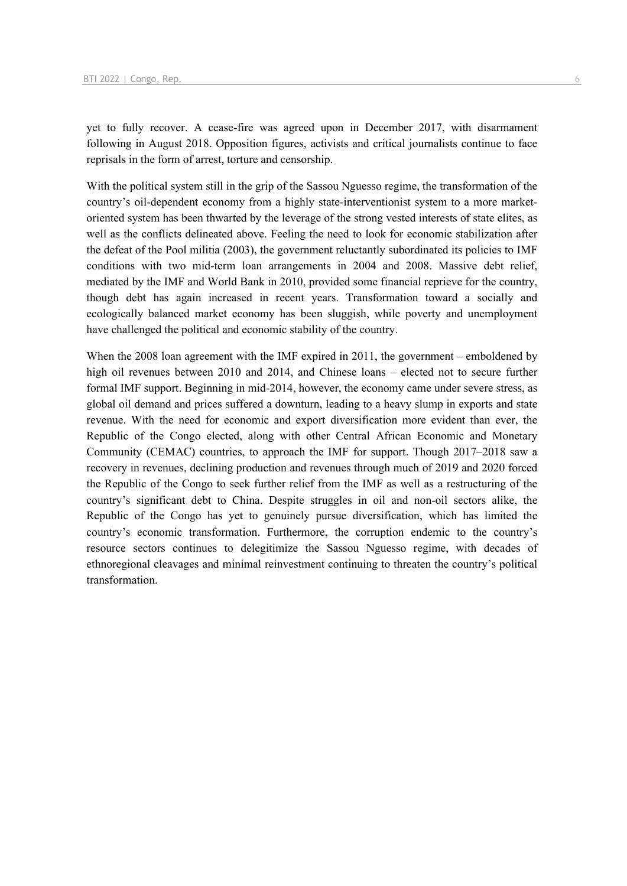yet to fully recover. A cease-fire was agreed upon in December 2017, with disarmament following in August 2018. Opposition figures, activists and critical journalists continue to face reprisals in the form of arrest, torture and censorship.

With the political system still in the grip of the Sassou Nguesso regime, the transformation of the country's oil-dependent economy from a highly state-interventionist system to a more marketoriented system has been thwarted by the leverage of the strong vested interests of state elites, as well as the conflicts delineated above. Feeling the need to look for economic stabilization after the defeat of the Pool militia (2003), the government reluctantly subordinated its policies to IMF conditions with two mid-term loan arrangements in 2004 and 2008. Massive debt relief, mediated by the IMF and World Bank in 2010, provided some financial reprieve for the country, though debt has again increased in recent years. Transformation toward a socially and ecologically balanced market economy has been sluggish, while poverty and unemployment have challenged the political and economic stability of the country.

When the 2008 loan agreement with the IMF expired in 2011, the government – emboldened by high oil revenues between 2010 and 2014, and Chinese loans – elected not to secure further formal IMF support. Beginning in mid-2014, however, the economy came under severe stress, as global oil demand and prices suffered a downturn, leading to a heavy slump in exports and state revenue. With the need for economic and export diversification more evident than ever, the Republic of the Congo elected, along with other Central African Economic and Monetary Community (CEMAC) countries, to approach the IMF for support. Though 2017–2018 saw a recovery in revenues, declining production and revenues through much of 2019 and 2020 forced the Republic of the Congo to seek further relief from the IMF as well as a restructuring of the country's significant debt to China. Despite struggles in oil and non-oil sectors alike, the Republic of the Congo has yet to genuinely pursue diversification, which has limited the country's economic transformation. Furthermore, the corruption endemic to the country's resource sectors continues to delegitimize the Sassou Nguesso regime, with decades of ethnoregional cleavages and minimal reinvestment continuing to threaten the country's political transformation.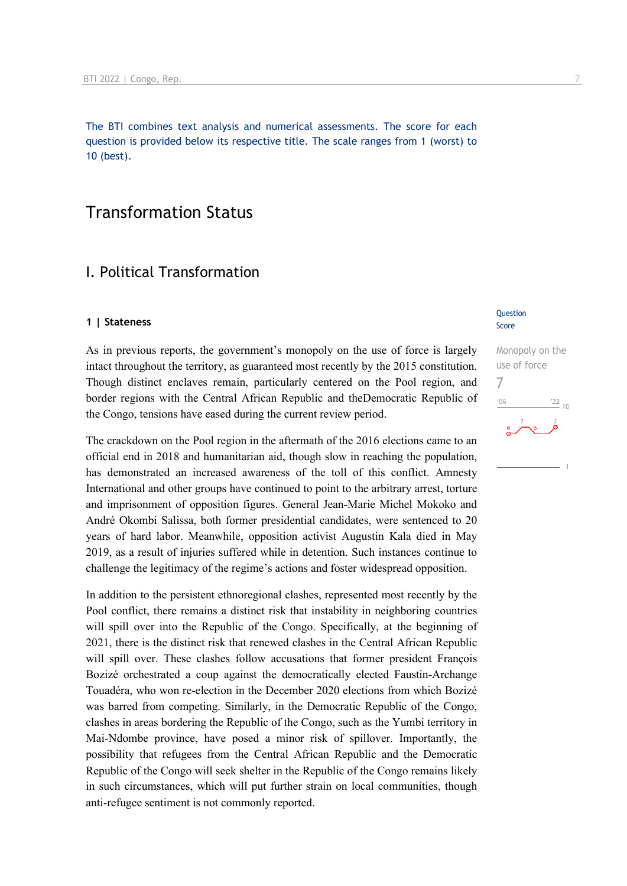The BTI combines text analysis and numerical assessments. The score for each question is provided below its respective title. The scale ranges from 1 (worst) to 10 (best).

### Transformation Status

### I. Political Transformation

### **1 | Stateness**

As in previous reports, the government's monopoly on the use of force is largely intact throughout the territory, as guaranteed most recently by the 2015 constitution. Though distinct enclaves remain, particularly centered on the Pool region, and border regions with the Central African Republic and theDemocratic Republic of the Congo, tensions have eased during the current review period.

The crackdown on the Pool region in the aftermath of the 2016 elections came to an official end in 2018 and humanitarian aid, though slow in reaching the population, has demonstrated an increased awareness of the toll of this conflict. Amnesty International and other groups have continued to point to the arbitrary arrest, torture and imprisonment of opposition figures. General Jean-Marie Michel Mokoko and André Okombi Salissa, both former presidential candidates, were sentenced to 20 years of hard labor. Meanwhile, opposition activist Augustin Kala died in May 2019, as a result of injuries suffered while in detention. Such instances continue to challenge the legitimacy of the regime's actions and foster widespread opposition.

In addition to the persistent ethnoregional clashes, represented most recently by the Pool conflict, there remains a distinct risk that instability in neighboring countries will spill over into the Republic of the Congo. Specifically, at the beginning of 2021, there is the distinct risk that renewed clashes in the Central African Republic will spill over. These clashes follow accusations that former president François Bozizé orchestrated a coup against the democratically elected Faustin-Archange Touadéra, who won re-election in the December 2020 elections from which Bozizé was barred from competing. Similarly, in the Democratic Republic of the Congo, clashes in areas bordering the Republic of the Congo, such as the Yumbi territory in Mai-Ndombe province, have posed a minor risk of spillover. Importantly, the possibility that refugees from the Central African Republic and the Democratic Republic of the Congo will seek shelter in the Republic of the Congo remains likely in such circumstances, which will put further strain on local communities, though anti-refugee sentiment is not commonly reported.

### Question Score

Monopoly on the use of force 7 $-06$  $^{'}22$ <sub>10</sub>  $\sum$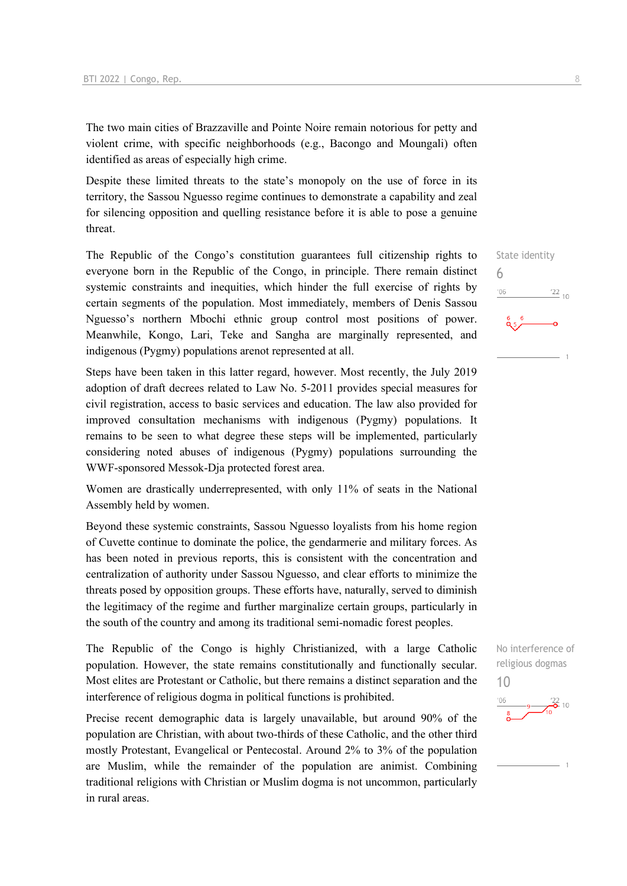The two main cities of Brazzaville and Pointe Noire remain notorious for petty and violent crime, with specific neighborhoods (e.g., Bacongo and Moungali) often identified as areas of especially high crime.

Despite these limited threats to the state's monopoly on the use of force in its territory, the Sassou Nguesso regime continues to demonstrate a capability and zeal for silencing opposition and quelling resistance before it is able to pose a genuine threat.

The Republic of the Congo's constitution guarantees full citizenship rights to everyone born in the Republic of the Congo, in principle. There remain distinct systemic constraints and inequities, which hinder the full exercise of rights by certain segments of the population. Most immediately, members of Denis Sassou Nguesso's northern Mbochi ethnic group control most positions of power. Meanwhile, Kongo, Lari, Teke and Sangha are marginally represented, and indigenous (Pygmy) populations arenot represented at all.

Steps have been taken in this latter regard, however. Most recently, the July 2019 adoption of draft decrees related to Law No. 5-2011 provides special measures for civil registration, access to basic services and education. The law also provided for improved consultation mechanisms with indigenous (Pygmy) populations. It remains to be seen to what degree these steps will be implemented, particularly considering noted abuses of indigenous (Pygmy) populations surrounding the WWF-sponsored Messok-Dja protected forest area.

Women are drastically underrepresented, with only 11% of seats in the National Assembly held by women.

Beyond these systemic constraints, Sassou Nguesso loyalists from his home region of Cuvette continue to dominate the police, the gendarmerie and military forces. As has been noted in previous reports, this is consistent with the concentration and centralization of authority under Sassou Nguesso, and clear efforts to minimize the threats posed by opposition groups. These efforts have, naturally, served to diminish the legitimacy of the regime and further marginalize certain groups, particularly in the south of the country and among its traditional semi-nomadic forest peoples.

The Republic of the Congo is highly Christianized, with a large Catholic population. However, the state remains constitutionally and functionally secular. Most elites are Protestant or Catholic, but there remains a distinct separation and the interference of religious dogma in political functions is prohibited.

Precise recent demographic data is largely unavailable, but around 90% of the population are Christian, with about two-thirds of these Catholic, and the other third mostly Protestant, Evangelical or Pentecostal. Around 2% to 3% of the population are Muslim, while the remainder of the population are animist. Combining traditional religions with Christian or Muslim dogma is not uncommon, particularly in rural areas.

State identity 6  $\frac{22}{10}$  $'06$ 

No interference of religious dogmas 10

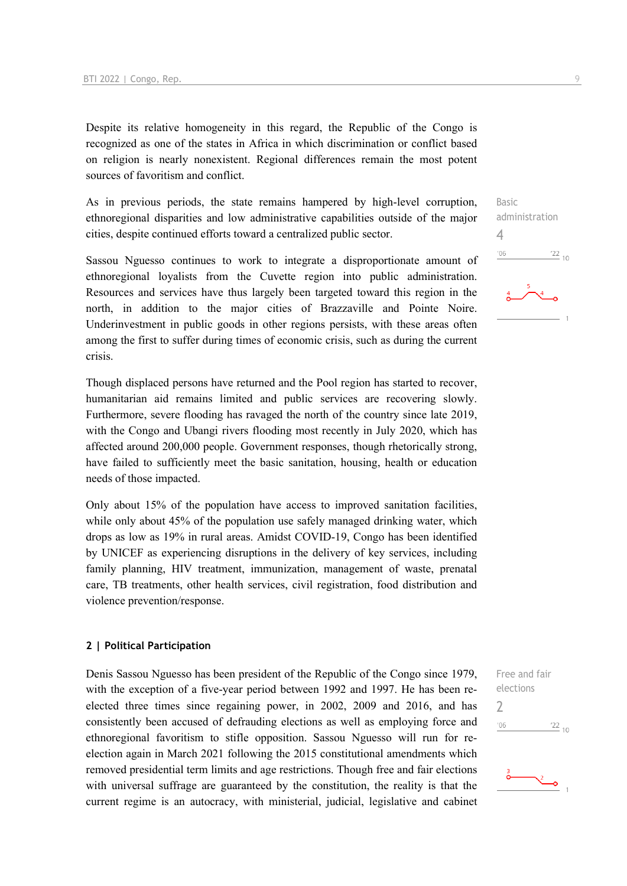Despite its relative homogeneity in this regard, the Republic of the Congo is recognized as one of the states in Africa in which discrimination or conflict based on religion is nearly nonexistent. Regional differences remain the most potent sources of favoritism and conflict.

As in previous periods, the state remains hampered by high-level corruption, ethnoregional disparities and low administrative capabilities outside of the major cities, despite continued efforts toward a centralized public sector.

Sassou Nguesso continues to work to integrate a disproportionate amount of ethnoregional loyalists from the Cuvette region into public administration. Resources and services have thus largely been targeted toward this region in the north, in addition to the major cities of Brazzaville and Pointe Noire. Underinvestment in public goods in other regions persists, with these areas often among the first to suffer during times of economic crisis, such as during the current crisis.

Though displaced persons have returned and the Pool region has started to recover, humanitarian aid remains limited and public services are recovering slowly. Furthermore, severe flooding has ravaged the north of the country since late 2019, with the Congo and Ubangi rivers flooding most recently in July 2020, which has affected around 200,000 people. Government responses, though rhetorically strong, have failed to sufficiently meet the basic sanitation, housing, health or education needs of those impacted.

Only about 15% of the population have access to improved sanitation facilities, while only about 45% of the population use safely managed drinking water, which drops as low as 19% in rural areas. Amidst COVID-19, Congo has been identified by UNICEF as experiencing disruptions in the delivery of key services, including family planning, HIV treatment, immunization, management of waste, prenatal care, TB treatments, other health services, civil registration, food distribution and violence prevention/response.

### **2 | Political Participation**

Denis Sassou Nguesso has been president of the Republic of the Congo since 1979, with the exception of a five-year period between 1992 and 1997. He has been reelected three times since regaining power, in 2002, 2009 and 2016, and has consistently been accused of defrauding elections as well as employing force and ethnoregional favoritism to stifle opposition. Sassou Nguesso will run for reelection again in March 2021 following the 2015 constitutional amendments which removed presidential term limits and age restrictions. Though free and fair elections with universal suffrage are guaranteed by the constitution, the reality is that the current regime is an autocracy, with ministerial, judicial, legislative and cabinet

Basic administration  $\Delta$  $\frac{22}{10}$  $'06$ 

Free and fair elections  $\overline{\phantom{0}}$  $'06$  $\frac{22}{10}$ 

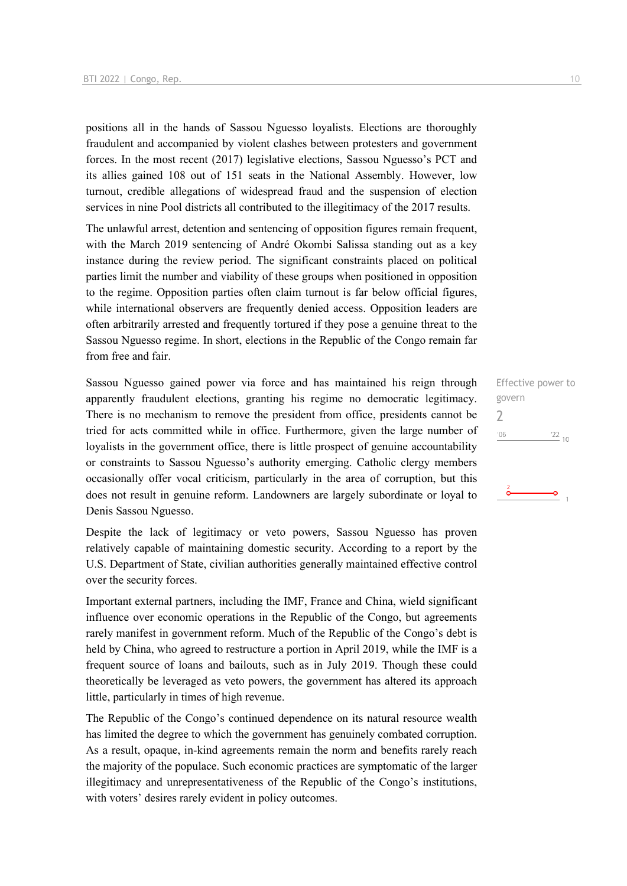positions all in the hands of Sassou Nguesso loyalists. Elections are thoroughly fraudulent and accompanied by violent clashes between protesters and government forces. In the most recent (2017) legislative elections, Sassou Nguesso's PCT and its allies gained 108 out of 151 seats in the National Assembly. However, low turnout, credible allegations of widespread fraud and the suspension of election services in nine Pool districts all contributed to the illegitimacy of the 2017 results.

The unlawful arrest, detention and sentencing of opposition figures remain frequent, with the March 2019 sentencing of André Okombi Salissa standing out as a key instance during the review period. The significant constraints placed on political parties limit the number and viability of these groups when positioned in opposition to the regime. Opposition parties often claim turnout is far below official figures, while international observers are frequently denied access. Opposition leaders are often arbitrarily arrested and frequently tortured if they pose a genuine threat to the Sassou Nguesso regime. In short, elections in the Republic of the Congo remain far from free and fair.

Sassou Nguesso gained power via force and has maintained his reign through apparently fraudulent elections, granting his regime no democratic legitimacy. There is no mechanism to remove the president from office, presidents cannot be tried for acts committed while in office. Furthermore, given the large number of loyalists in the government office, there is little prospect of genuine accountability or constraints to Sassou Nguesso's authority emerging. Catholic clergy members occasionally offer vocal criticism, particularly in the area of corruption, but this does not result in genuine reform. Landowners are largely subordinate or loyal to Denis Sassou Nguesso.

Despite the lack of legitimacy or veto powers, Sassou Nguesso has proven relatively capable of maintaining domestic security. According to a report by the U.S. Department of State, civilian authorities generally maintained effective control over the security forces.

Important external partners, including the IMF, France and China, wield significant influence over economic operations in the Republic of the Congo, but agreements rarely manifest in government reform. Much of the Republic of the Congo's debt is held by China, who agreed to restructure a portion in April 2019, while the IMF is a frequent source of loans and bailouts, such as in July 2019. Though these could theoretically be leveraged as veto powers, the government has altered its approach little, particularly in times of high revenue.

The Republic of the Congo's continued dependence on its natural resource wealth has limited the degree to which the government has genuinely combated corruption. As a result, opaque, in-kind agreements remain the norm and benefits rarely reach the majority of the populace. Such economic practices are symptomatic of the larger illegitimacy and unrepresentativeness of the Republic of the Congo's institutions, with voters' desires rarely evident in policy outcomes.

Effective power to govern 2 $^{\prime}06$  $\frac{22}{10}$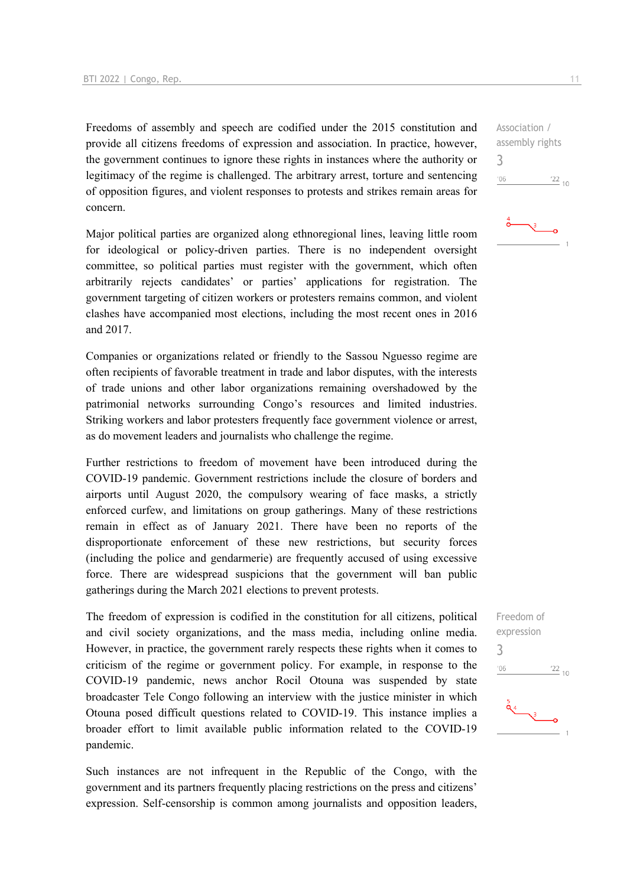Freedoms of assembly and speech are codified under the 2015 constitution and provide all citizens freedoms of expression and association. In practice, however, the government continues to ignore these rights in instances where the authority or legitimacy of the regime is challenged. The arbitrary arrest, torture and sentencing of opposition figures, and violent responses to protests and strikes remain areas for concern.

Major political parties are organized along ethnoregional lines, leaving little room for ideological or policy-driven parties. There is no independent oversight committee, so political parties must register with the government, which often arbitrarily rejects candidates' or parties' applications for registration. The government targeting of citizen workers or protesters remains common, and violent clashes have accompanied most elections, including the most recent ones in 2016 and 2017.

Companies or organizations related or friendly to the Sassou Nguesso regime are often recipients of favorable treatment in trade and labor disputes, with the interests of trade unions and other labor organizations remaining overshadowed by the patrimonial networks surrounding Congo's resources and limited industries. Striking workers and labor protesters frequently face government violence or arrest, as do movement leaders and journalists who challenge the regime.

Further restrictions to freedom of movement have been introduced during the COVID-19 pandemic. Government restrictions include the closure of borders and airports until August 2020, the compulsory wearing of face masks, a strictly enforced curfew, and limitations on group gatherings. Many of these restrictions remain in effect as of January 2021. There have been no reports of the disproportionate enforcement of these new restrictions, but security forces (including the police and gendarmerie) are frequently accused of using excessive force. There are widespread suspicions that the government will ban public gatherings during the March 2021 elections to prevent protests.

The freedom of expression is codified in the constitution for all citizens, political and civil society organizations, and the mass media, including online media. However, in practice, the government rarely respects these rights when it comes to criticism of the regime or government policy. For example, in response to the COVID-19 pandemic, news anchor Rocil Otouna was suspended by state broadcaster Tele Congo following an interview with the justice minister in which Otouna posed difficult questions related to COVID-19. This instance implies a broader effort to limit available public information related to the COVID-19 pandemic.

Such instances are not infrequent in the Republic of the Congo, with the government and its partners frequently placing restrictions on the press and citizens' expression. Self-censorship is common among journalists and opposition leaders,

Association / assembly rights 3  $^{\prime}06$  $\frac{22}{10}$ 



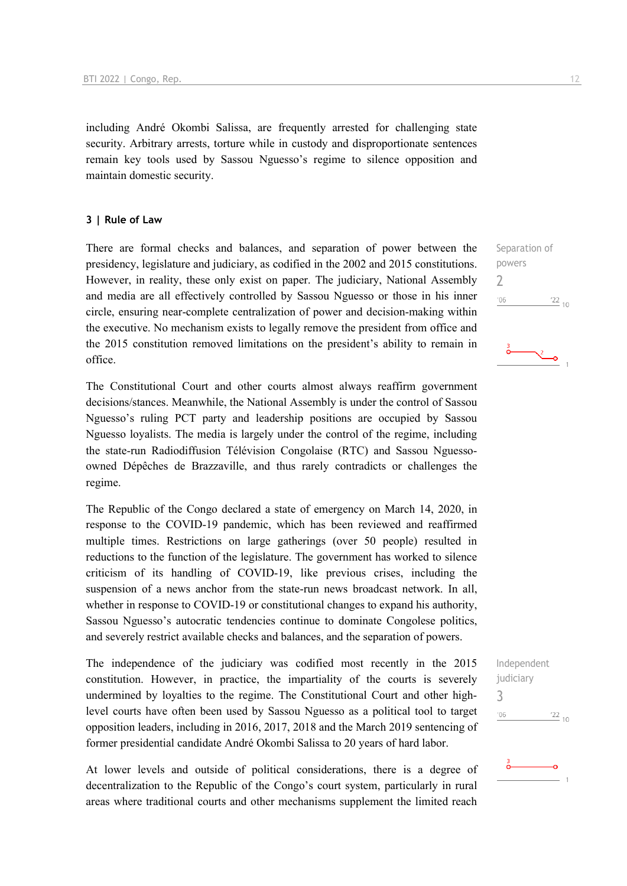including André Okombi Salissa, are frequently arrested for challenging state security. Arbitrary arrests, torture while in custody and disproportionate sentences remain key tools used by Sassou Nguesso's regime to silence opposition and maintain domestic security.

### **3 | Rule of Law**

There are formal checks and balances, and separation of power between the presidency, legislature and judiciary, as codified in the 2002 and 2015 constitutions. However, in reality, these only exist on paper. The judiciary, National Assembly and media are all effectively controlled by Sassou Nguesso or those in his inner circle, ensuring near-complete centralization of power and decision-making within the executive. No mechanism exists to legally remove the president from office and the 2015 constitution removed limitations on the president's ability to remain in office.

The Constitutional Court and other courts almost always reaffirm government decisions/stances. Meanwhile, the National Assembly is under the control of Sassou Nguesso's ruling PCT party and leadership positions are occupied by Sassou Nguesso loyalists. The media is largely under the control of the regime, including the state-run Radiodiffusion Télévision Congolaise (RTC) and Sassou Nguessoowned Dépêches de Brazzaville, and thus rarely contradicts or challenges the regime.

The Republic of the Congo declared a state of emergency on March 14, 2020, in response to the COVID-19 pandemic, which has been reviewed and reaffirmed multiple times. Restrictions on large gatherings (over 50 people) resulted in reductions to the function of the legislature. The government has worked to silence criticism of its handling of COVID-19, like previous crises, including the suspension of a news anchor from the state-run news broadcast network. In all, whether in response to COVID-19 or constitutional changes to expand his authority, Sassou Nguesso's autocratic tendencies continue to dominate Congolese politics, and severely restrict available checks and balances, and the separation of powers.

The independence of the judiciary was codified most recently in the 2015 constitution. However, in practice, the impartiality of the courts is severely undermined by loyalties to the regime. The Constitutional Court and other highlevel courts have often been used by Sassou Nguesso as a political tool to target opposition leaders, including in 2016, 2017, 2018 and the March 2019 sentencing of former presidential candidate André Okombi Salissa to 20 years of hard labor.

At lower levels and outside of political considerations, there is a degree of decentralization to the Republic of the Congo's court system, particularly in rural areas where traditional courts and other mechanisms supplement the limited reach

Separation of powers  $\overline{\phantom{0}}$  $106$  $\frac{22}{10}$ 

Independent judiciary 3 $\frac{22}{10}$  $06'$ 

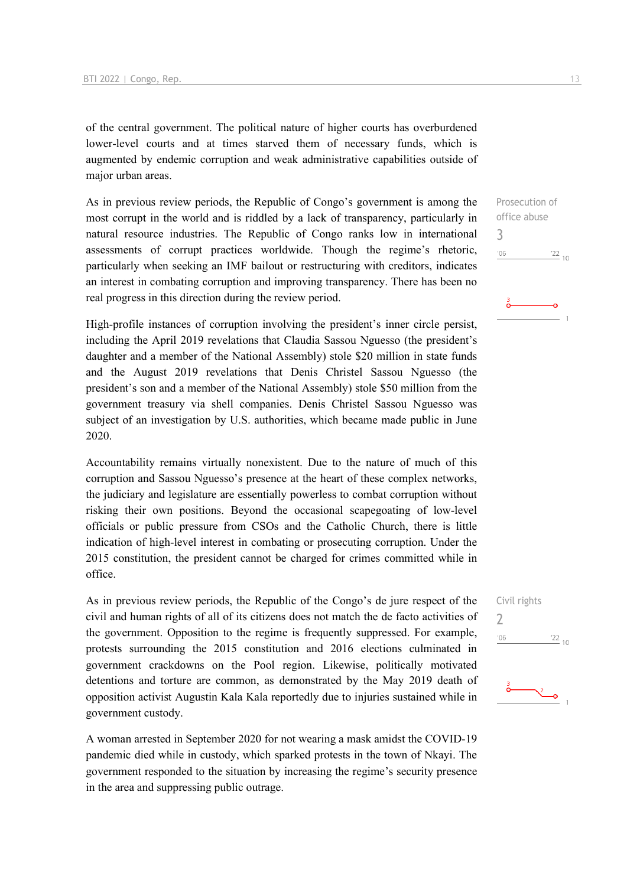of the central government. The political nature of higher courts has overburdened lower-level courts and at times starved them of necessary funds, which is augmented by endemic corruption and weak administrative capabilities outside of major urban areas.

As in previous review periods, the Republic of Congo's government is among the most corrupt in the world and is riddled by a lack of transparency, particularly in natural resource industries. The Republic of Congo ranks low in international assessments of corrupt practices worldwide. Though the regime's rhetoric, particularly when seeking an IMF bailout or restructuring with creditors, indicates an interest in combating corruption and improving transparency. There has been no real progress in this direction during the review period.

High-profile instances of corruption involving the president's inner circle persist, including the April 2019 revelations that Claudia Sassou Nguesso (the president's daughter and a member of the National Assembly) stole \$20 million in state funds and the August 2019 revelations that Denis Christel Sassou Nguesso (the president's son and a member of the National Assembly) stole \$50 million from the government treasury via shell companies. Denis Christel Sassou Nguesso was subject of an investigation by U.S. authorities, which became made public in June 2020.

Accountability remains virtually nonexistent. Due to the nature of much of this corruption and Sassou Nguesso's presence at the heart of these complex networks, the judiciary and legislature are essentially powerless to combat corruption without risking their own positions. Beyond the occasional scapegoating of low-level officials or public pressure from CSOs and the Catholic Church, there is little indication of high-level interest in combating or prosecuting corruption. Under the 2015 constitution, the president cannot be charged for crimes committed while in office.

As in previous review periods, the Republic of the Congo's de jure respect of the civil and human rights of all of its citizens does not match the de facto activities of the government. Opposition to the regime is frequently suppressed. For example, protests surrounding the 2015 constitution and 2016 elections culminated in government crackdowns on the Pool region. Likewise, politically motivated detentions and torture are common, as demonstrated by the May 2019 death of opposition activist Augustin Kala Kala reportedly due to injuries sustained while in government custody.

A woman arrested in September 2020 for not wearing a mask amidst the COVID-19 pandemic died while in custody, which sparked protests in the town of Nkayi. The government responded to the situation by increasing the regime's security presence in the area and suppressing public outrage.

Prosecution of office abuse 3  $'06$  $\frac{22}{10}$ 

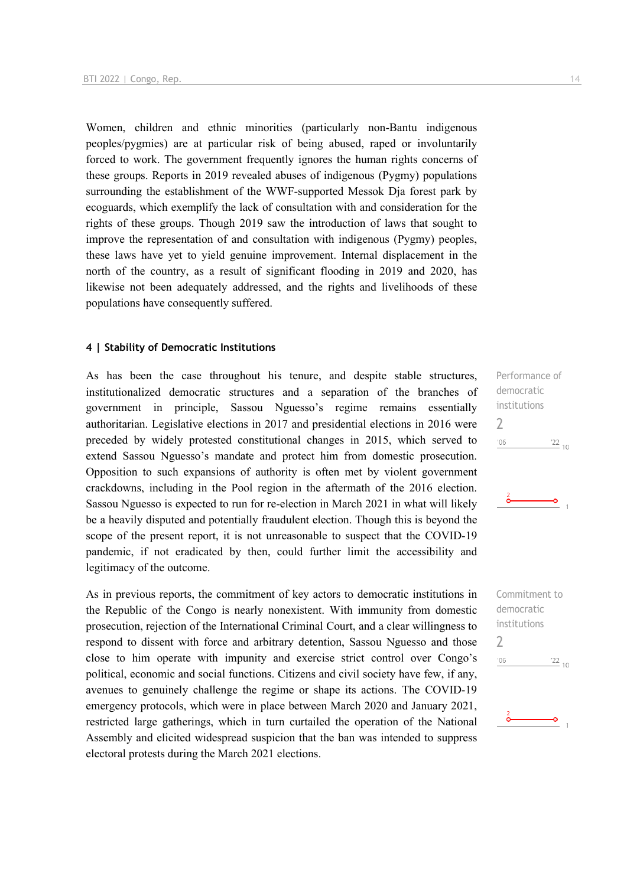Women, children and ethnic minorities (particularly non-Bantu indigenous peoples/pygmies) are at particular risk of being abused, raped or involuntarily forced to work. The government frequently ignores the human rights concerns of these groups. Reports in 2019 revealed abuses of indigenous (Pygmy) populations surrounding the establishment of the WWF-supported Messok Dia forest park by ecoguards, which exemplify the lack of consultation with and consideration for the rights of these groups. Though 2019 saw the introduction of laws that sought to improve the representation of and consultation with indigenous (Pygmy) peoples, these laws have yet to yield genuine improvement. Internal displacement in the north of the country, as a result of significant flooding in 2019 and 2020, has likewise not been adequately addressed, and the rights and livelihoods of these populations have consequently suffered.

### **4 | Stability of Democratic Institutions**

As has been the case throughout his tenure, and despite stable structures, institutionalized democratic structures and a separation of the branches of government in principle, Sassou Nguesso's regime remains essentially authoritarian. Legislative elections in 2017 and presidential elections in 2016 were preceded by widely protested constitutional changes in 2015, which served to extend Sassou Nguesso's mandate and protect him from domestic prosecution. Opposition to such expansions of authority is often met by violent government crackdowns, including in the Pool region in the aftermath of the 2016 election. Sassou Nguesso is expected to run for re-election in March 2021 in what will likely be a heavily disputed and potentially fraudulent election. Though this is beyond the scope of the present report, it is not unreasonable to suspect that the COVID-19 pandemic, if not eradicated by then, could further limit the accessibility and legitimacy of the outcome.

As in previous reports, the commitment of key actors to democratic institutions in the Republic of the Congo is nearly nonexistent. With immunity from domestic prosecution, rejection of the International Criminal Court, and a clear willingness to respond to dissent with force and arbitrary detention, Sassou Nguesso and those close to him operate with impunity and exercise strict control over Congo's political, economic and social functions. Citizens and civil society have few, if any, avenues to genuinely challenge the regime or shape its actions. The COVID-19 emergency protocols, which were in place between March 2020 and January 2021, restricted large gatherings, which in turn curtailed the operation of the National Assembly and elicited widespread suspicion that the ban was intended to suppress electoral protests during the March 2021 elections.

Performance of democratic institutions 2  $'06$  $\frac{22}{10}$ 

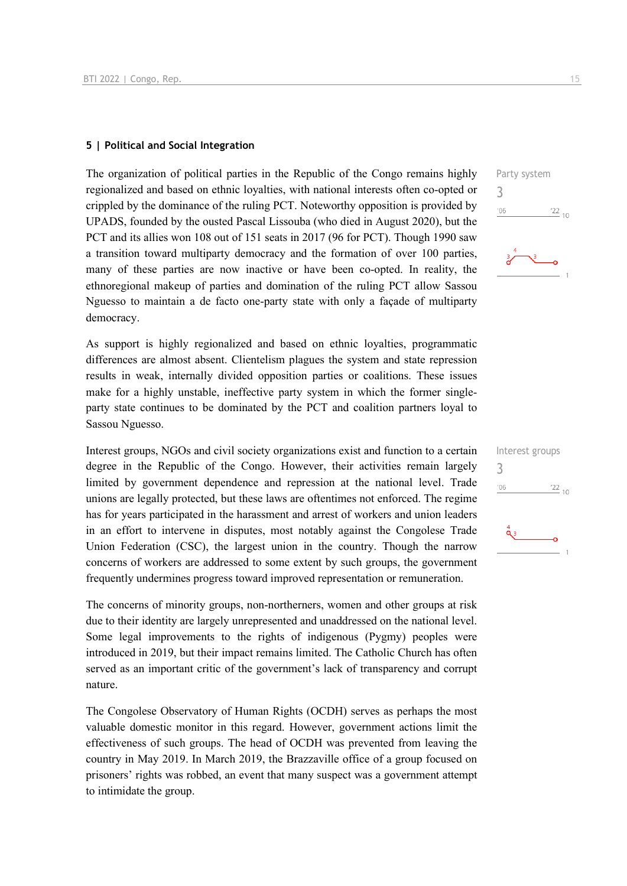### **5 | Political and Social Integration**

The organization of political parties in the Republic of the Congo remains highly regionalized and based on ethnic loyalties, with national interests often co-opted or crippled by the dominance of the ruling PCT. Noteworthy opposition is provided by UPADS, founded by the ousted Pascal Lissouba (who died in August 2020), but the PCT and its allies won 108 out of 151 seats in 2017 (96 for PCT). Though 1990 saw a transition toward multiparty democracy and the formation of over 100 parties, many of these parties are now inactive or have been co-opted. In reality, the ethnoregional makeup of parties and domination of the ruling PCT allow Sassou Nguesso to maintain a de facto one-party state with only a façade of multiparty democracy.

As support is highly regionalized and based on ethnic loyalties, programmatic differences are almost absent. Clientelism plagues the system and state repression results in weak, internally divided opposition parties or coalitions. These issues make for a highly unstable, ineffective party system in which the former singleparty state continues to be dominated by the PCT and coalition partners loyal to Sassou Nguesso.

Interest groups, NGOs and civil society organizations exist and function to a certain degree in the Republic of the Congo. However, their activities remain largely limited by government dependence and repression at the national level. Trade unions are legally protected, but these laws are oftentimes not enforced. The regime has for years participated in the harassment and arrest of workers and union leaders in an effort to intervene in disputes, most notably against the Congolese Trade Union Federation (CSC), the largest union in the country. Though the narrow concerns of workers are addressed to some extent by such groups, the government frequently undermines progress toward improved representation or remuneration.

The concerns of minority groups, non-northerners, women and other groups at risk due to their identity are largely unrepresented and unaddressed on the national level. Some legal improvements to the rights of indigenous (Pygmy) peoples were introduced in 2019, but their impact remains limited. The Catholic Church has often served as an important critic of the government's lack of transparency and corrupt nature.

The Congolese Observatory of Human Rights (OCDH) serves as perhaps the most valuable domestic monitor in this regard. However, government actions limit the effectiveness of such groups. The head of OCDH was prevented from leaving the country in May 2019. In March 2019, the Brazzaville office of a group focused on prisoners' rights was robbed, an event that many suspect was a government attempt to intimidate the group.

Party system 3  $\frac{22}{10}$  $-06$ 

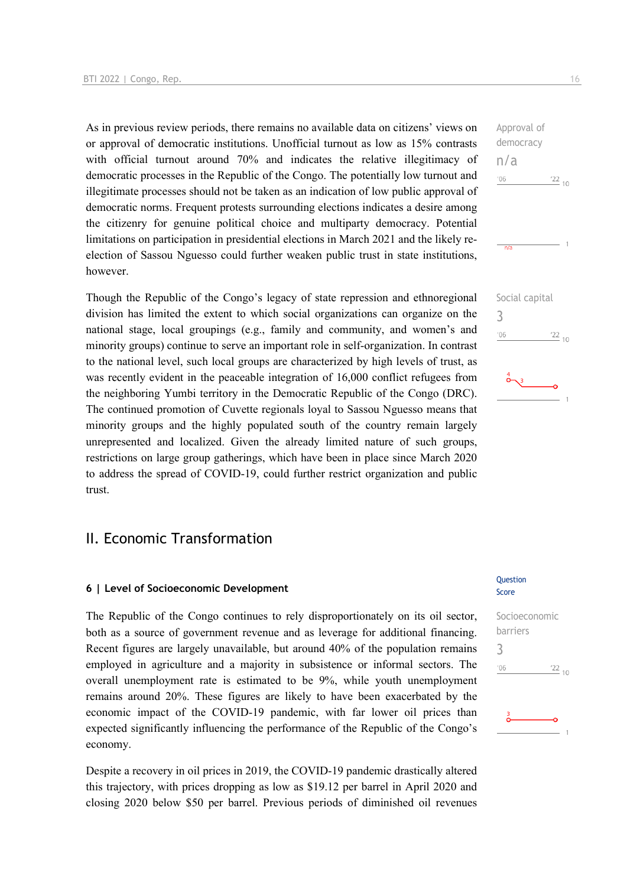As in previous review periods, there remains no available data on citizens' views on or approval of democratic institutions. Unofficial turnout as low as 15% contrasts with official turnout around 70% and indicates the relative illegitimacy of democratic processes in the Republic of the Congo. The potentially low turnout and illegitimate processes should not be taken as an indication of low public approval of democratic norms. Frequent protests surrounding elections indicates a desire among the citizenry for genuine political choice and multiparty democracy. Potential limitations on participation in presidential elections in March 2021 and the likely reelection of Sassou Nguesso could further weaken public trust in state institutions, however.

Though the Republic of the Congo's legacy of state repression and ethnoregional division has limited the extent to which social organizations can organize on the national stage, local groupings (e.g., family and community, and women's and minority groups) continue to serve an important role in self-organization. In contrast to the national level, such local groups are characterized by high levels of trust, as was recently evident in the peaceable integration of 16,000 conflict refugees from the neighboring Yumbi territory in the Democratic Republic of the Congo (DRC). The continued promotion of Cuvette regionals loyal to Sassou Nguesso means that minority groups and the highly populated south of the country remain largely unrepresented and localized. Given the already limited nature of such groups, restrictions on large group gatherings, which have been in place since March 2020 to address the spread of COVID-19, could further restrict organization and public trust.

### II. Economic Transformation

### **6 | Level of Socioeconomic Development**

The Republic of the Congo continues to rely disproportionately on its oil sector, both as a source of government revenue and as leverage for additional financing. Recent figures are largely unavailable, but around 40% of the population remains employed in agriculture and a majority in subsistence or informal sectors. The overall unemployment rate is estimated to be 9%, while youth unemployment remains around 20%. These figures are likely to have been exacerbated by the economic impact of the COVID-19 pandemic, with far lower oil prices than expected significantly influencing the performance of the Republic of the Congo's economy.

Despite a recovery in oil prices in 2019, the COVID-19 pandemic drastically altered this trajectory, with prices dropping as low as \$19.12 per barrel in April 2020 and closing 2020 below \$50 per barrel. Previous periods of diminished oil revenues

### Question Score

## Socioeconomic barriers 3 $\frac{22}{10}$  $^{\prime}06$

# n/a  $-06$  $122_{10}$  $\frac{1}{n/a}$

Approval of democracy

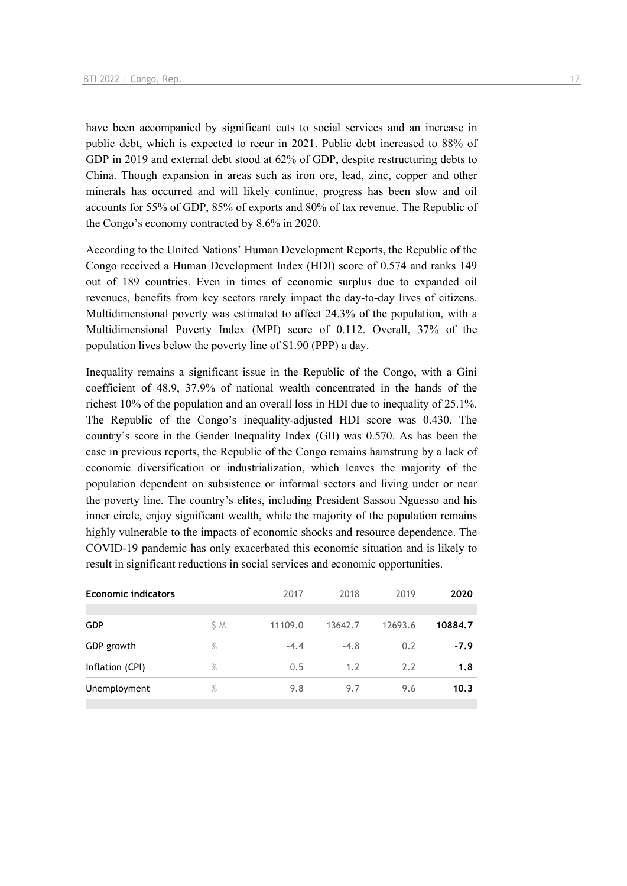have been accompanied by significant cuts to social services and an increase in public debt, which is expected to recur in 2021. Public debt increased to 88% of GDP in 2019 and external debt stood at 62% of GDP, despite restructuring debts to China. Though expansion in areas such as iron ore, lead, zinc, copper and other minerals has occurred and will likely continue, progress has been slow and oil accounts for 55% of GDP, 85% of exports and 80% of tax revenue. The Republic of the Congo's economy contracted by 8.6% in 2020.

According to the United Nations' Human Development Reports, the Republic of the Congo received a Human Development Index (HDI) score of 0.574 and ranks 149 out of 189 countries. Even in times of economic surplus due to expanded oil revenues, benefits from key sectors rarely impact the day-to-day lives of citizens. Multidimensional poverty was estimated to affect 24.3% of the population, with a Multidimensional Poverty Index (MPI) score of 0.112. Overall, 37% of the population lives below the poverty line of \$1.90 (PPP) a day.

Inequality remains a significant issue in the Republic of the Congo, with a Gini coefficient of 48.9, 37.9% of national wealth concentrated in the hands of the richest 10% of the population and an overall loss in HDI due to inequality of 25.1%. The Republic of the Congo's inequality-adjusted HDI score was 0.430. The country's score in the Gender Inequality Index (GII) was 0.570. As has been the case in previous reports, the Republic of the Congo remains hamstrung by a lack of economic diversification or industrialization, which leaves the majority of the population dependent on subsistence or informal sectors and living under or near the poverty line. The country's elites, including President Sassou Nguesso and his inner circle, enjoy significant wealth, while the majority of the population remains highly vulnerable to the impacts of economic shocks and resource dependence. The COVID-19 pandemic has only exacerbated this economic situation and is likely to result in significant reductions in social services and economic opportunities.

| <b>Economic indicators</b> |      | 2017    | 2018    | 2019    | 2020    |
|----------------------------|------|---------|---------|---------|---------|
|                            |      |         |         |         |         |
| <b>GDP</b>                 | S M  | 11109.0 | 13642.7 | 12693.6 | 10884.7 |
| GDP growth                 | $\%$ | $-4.4$  | $-4.8$  | 0.2     | $-7.9$  |
| Inflation (CPI)            | $\%$ | 0.5     | 1.2     | 2.2     | 1.8     |
| Unemployment               | $\%$ | 9.8     | 9.7     | 9.6     | 10.3    |
|                            |      |         |         |         |         |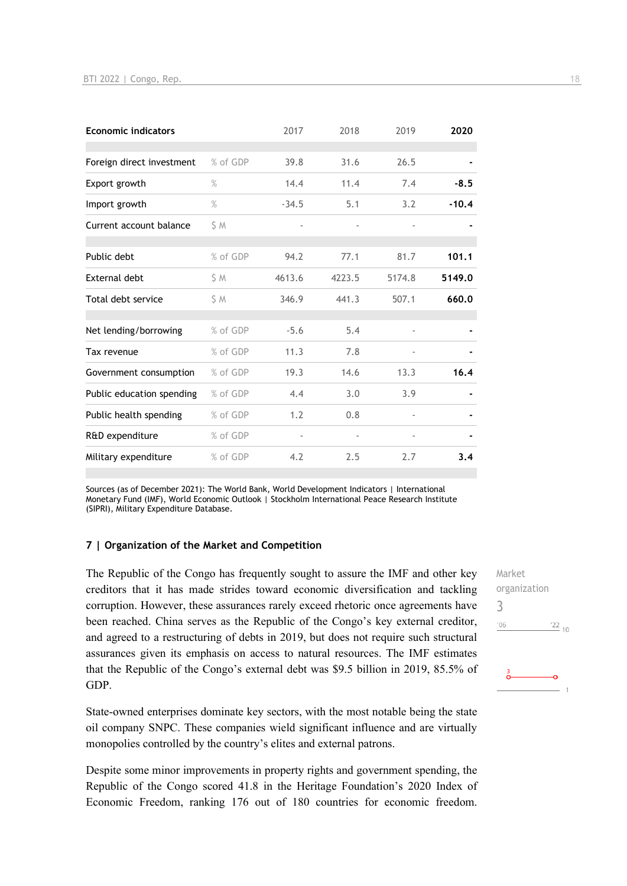| <b>Economic indicators</b> |          | 2017                     | 2018   | 2019                         | 2020    |
|----------------------------|----------|--------------------------|--------|------------------------------|---------|
| Foreign direct investment  | % of GDP | 39.8                     | 31.6   | 26.5                         |         |
| Export growth              | $\%$     | 14.4                     | 11.4   | 7.4                          | $-8.5$  |
| Import growth              | $\%$     | $-34.5$                  | 5.1    | 3.2                          | $-10.4$ |
| Current account balance    | S M      |                          |        |                              |         |
| Public debt                | % of GDP | 94.2                     | 77.1   | 81.7                         | 101.1   |
| External debt              | S M      | 4613.6                   | 4223.5 | 5174.8                       | 5149.0  |
| Total debt service         | S M      | 346.9                    | 441.3  | 507.1                        | 660.0   |
| Net lending/borrowing      | % of GDP | $-5.6$                   | 5.4    | $\bar{ }$                    |         |
| Tax revenue                | % of GDP | 11.3                     | 7.8    |                              |         |
| Government consumption     | % of GDP | 19.3                     | 14.6   | 13.3                         | 16.4    |
| Public education spending  | % of GDP | 4.4                      | 3.0    | 3.9                          |         |
| Public health spending     | % of GDP | 1.2                      | 0.8    | $\qquad \qquad \blacksquare$ |         |
| R&D expenditure            | % of GDP | $\overline{\phantom{a}}$ |        |                              |         |
| Military expenditure       | % of GDP | 4.2                      | 2.5    | 2.7                          | 3.4     |

Sources (as of December 2021): The World Bank, World Development Indicators | International Monetary Fund (IMF), World Economic Outlook | Stockholm International Peace Research Institute (SIPRI), Military Expenditure Database.

### **7 | Organization of the Market and Competition**

The Republic of the Congo has frequently sought to assure the IMF and other key creditors that it has made strides toward economic diversification and tackling corruption. However, these assurances rarely exceed rhetoric once agreements have been reached. China serves as the Republic of the Congo's key external creditor, and agreed to a restructuring of debts in 2019, but does not require such structural assurances given its emphasis on access to natural resources. The IMF estimates that the Republic of the Congo's external debt was \$9.5 billion in 2019, 85.5% of GDP.

State-owned enterprises dominate key sectors, with the most notable being the state oil company SNPC. These companies wield significant influence and are virtually monopolies controlled by the country's elites and external patrons.

Despite some minor improvements in property rights and government spending, the Republic of the Congo scored 41.8 in the Heritage Foundation's 2020 Index of Economic Freedom, ranking 176 out of 180 countries for economic freedom.

Market organization 3 $\frac{22}{10}$  $106$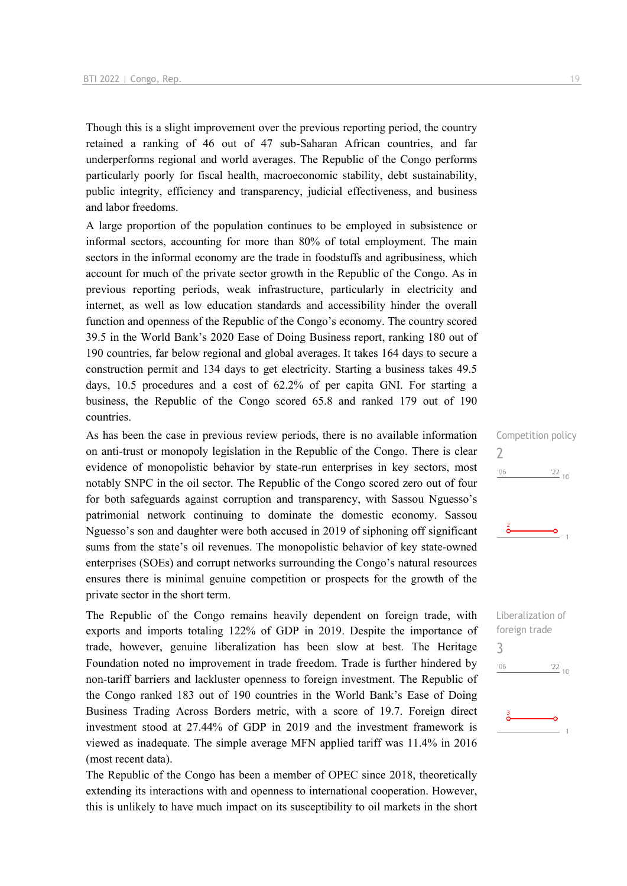Though this is a slight improvement over the previous reporting period, the country retained a ranking of 46 out of 47 sub-Saharan African countries, and far underperforms regional and world averages. The Republic of the Congo performs particularly poorly for fiscal health, macroeconomic stability, debt sustainability, public integrity, efficiency and transparency, judicial effectiveness, and business and labor freedoms.

A large proportion of the population continues to be employed in subsistence or informal sectors, accounting for more than 80% of total employment. The main sectors in the informal economy are the trade in foodstuffs and agribusiness, which account for much of the private sector growth in the Republic of the Congo. As in previous reporting periods, weak infrastructure, particularly in electricity and internet, as well as low education standards and accessibility hinder the overall function and openness of the Republic of the Congo's economy. The country scored 39.5 in the World Bank's 2020 Ease of Doing Business report, ranking 180 out of 190 countries, far below regional and global averages. It takes 164 days to secure a construction permit and 134 days to get electricity. Starting a business takes 49.5 days, 10.5 procedures and a cost of 62.2% of per capita GNI. For starting a business, the Republic of the Congo scored 65.8 and ranked 179 out of 190 countries.

As has been the case in previous review periods, there is no available information on anti-trust or monopoly legislation in the Republic of the Congo. There is clear evidence of monopolistic behavior by state-run enterprises in key sectors, most notably SNPC in the oil sector. The Republic of the Congo scored zero out of four for both safeguards against corruption and transparency, with Sassou Nguesso's patrimonial network continuing to dominate the domestic economy. Sassou Nguesso's son and daughter were both accused in 2019 of siphoning off significant sums from the state's oil revenues. The monopolistic behavior of key state-owned enterprises (SOEs) and corrupt networks surrounding the Congo's natural resources ensures there is minimal genuine competition or prospects for the growth of the private sector in the short term.

The Republic of the Congo remains heavily dependent on foreign trade, with exports and imports totaling 122% of GDP in 2019. Despite the importance of trade, however, genuine liberalization has been slow at best. The Heritage Foundation noted no improvement in trade freedom. Trade is further hindered by non-tariff barriers and lackluster openness to foreign investment. The Republic of the Congo ranked 183 out of 190 countries in the World Bank's Ease of Doing Business Trading Across Borders metric, with a score of 19.7. Foreign direct investment stood at 27.44% of GDP in 2019 and the investment framework is viewed as inadequate. The simple average MFN applied tariff was 11.4% in 2016 (most recent data).

The Republic of the Congo has been a member of OPEC since 2018, theoretically extending its interactions with and openness to international cooperation. However, this is unlikely to have much impact on its susceptibility to oil markets in the short

 $\frac{22}{10}$ 

2

 $06'$ 

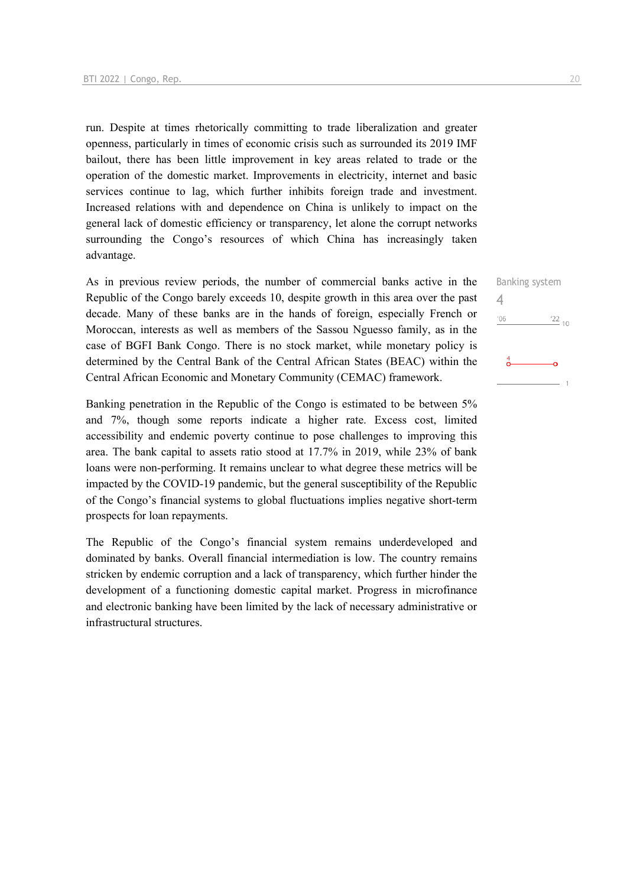run. Despite at times rhetorically committing to trade liberalization and greater openness, particularly in times of economic crisis such as surrounded its 2019 IMF bailout, there has been little improvement in key areas related to trade or the operation of the domestic market. Improvements in electricity, internet and basic services continue to lag, which further inhibits foreign trade and investment. Increased relations with and dependence on China is unlikely to impact on the general lack of domestic efficiency or transparency, let alone the corrupt networks surrounding the Congo's resources of which China has increasingly taken advantage.

As in previous review periods, the number of commercial banks active in the Republic of the Congo barely exceeds 10, despite growth in this area over the past decade. Many of these banks are in the hands of foreign, especially French or Moroccan, interests as well as members of the Sassou Nguesso family, as in the case of BGFI Bank Congo. There is no stock market, while monetary policy is determined by the Central Bank of the Central African States (BEAC) within the Central African Economic and Monetary Community (CEMAC) framework.

Banking penetration in the Republic of the Congo is estimated to be between 5% and 7%, though some reports indicate a higher rate. Excess cost, limited accessibility and endemic poverty continue to pose challenges to improving this area. The bank capital to assets ratio stood at 17.7% in 2019, while 23% of bank loans were non-performing. It remains unclear to what degree these metrics will be impacted by the COVID-19 pandemic, but the general susceptibility of the Republic of the Congo's financial systems to global fluctuations implies negative short-term prospects for loan repayments.

The Republic of the Congo's financial system remains underdeveloped and dominated by banks. Overall financial intermediation is low. The country remains stricken by endemic corruption and a lack of transparency, which further hinder the development of a functioning domestic capital market. Progress in microfinance and electronic banking have been limited by the lack of necessary administrative or infrastructural structures.

Banking system  $\Delta$  $^{\prime}06$  $\frac{22}{10}$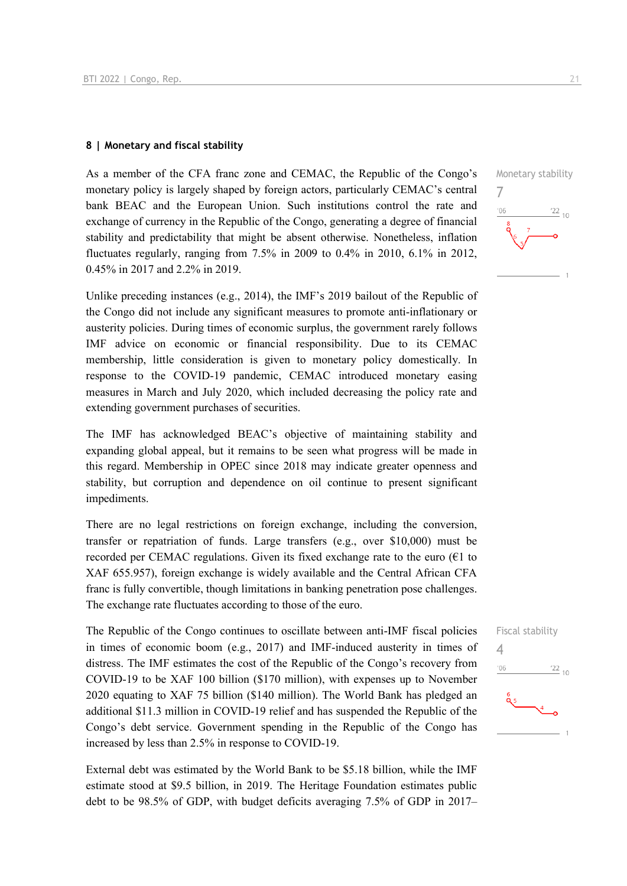### **8 | Monetary and fiscal stability**

As a member of the CFA franc zone and CEMAC, the Republic of the Congo's monetary policy is largely shaped by foreign actors, particularly CEMAC's central bank BEAC and the European Union. Such institutions control the rate and exchange of currency in the Republic of the Congo, generating a degree of financial stability and predictability that might be absent otherwise. Nonetheless, inflation fluctuates regularly, ranging from 7.5% in 2009 to 0.4% in 2010, 6.1% in 2012, 0.45% in 2017 and 2.2% in 2019.

Unlike preceding instances (e.g., 2014), the IMF's 2019 bailout of the Republic of the Congo did not include any significant measures to promote anti-inflationary or austerity policies. During times of economic surplus, the government rarely follows IMF advice on economic or financial responsibility. Due to its CEMAC membership, little consideration is given to monetary policy domestically. In response to the COVID-19 pandemic, CEMAC introduced monetary easing measures in March and July 2020, which included decreasing the policy rate and extending government purchases of securities.

The IMF has acknowledged BEAC's objective of maintaining stability and expanding global appeal, but it remains to be seen what progress will be made in this regard. Membership in OPEC since 2018 may indicate greater openness and stability, but corruption and dependence on oil continue to present significant impediments.

There are no legal restrictions on foreign exchange, including the conversion, transfer or repatriation of funds. Large transfers (e.g., over \$10,000) must be recorded per CEMAC regulations. Given its fixed exchange rate to the euro ( $\epsilon$ 1 to XAF 655.957), foreign exchange is widely available and the Central African CFA franc is fully convertible, though limitations in banking penetration pose challenges. The exchange rate fluctuates according to those of the euro.

The Republic of the Congo continues to oscillate between anti-IMF fiscal policies in times of economic boom (e.g., 2017) and IMF-induced austerity in times of distress. The IMF estimates the cost of the Republic of the Congo's recovery from COVID-19 to be XAF 100 billion (\$170 million), with expenses up to November 2020 equating to XAF 75 billion (\$140 million). The World Bank has pledged an additional \$11.3 million in COVID-19 relief and has suspended the Republic of the Congo's debt service. Government spending in the Republic of the Congo has increased by less than 2.5% in response to COVID-19.

External debt was estimated by the World Bank to be \$5.18 billion, while the IMF estimate stood at \$9.5 billion, in 2019. The Heritage Foundation estimates public debt to be 98.5% of GDP, with budget deficits averaging 7.5% of GDP in 2017–



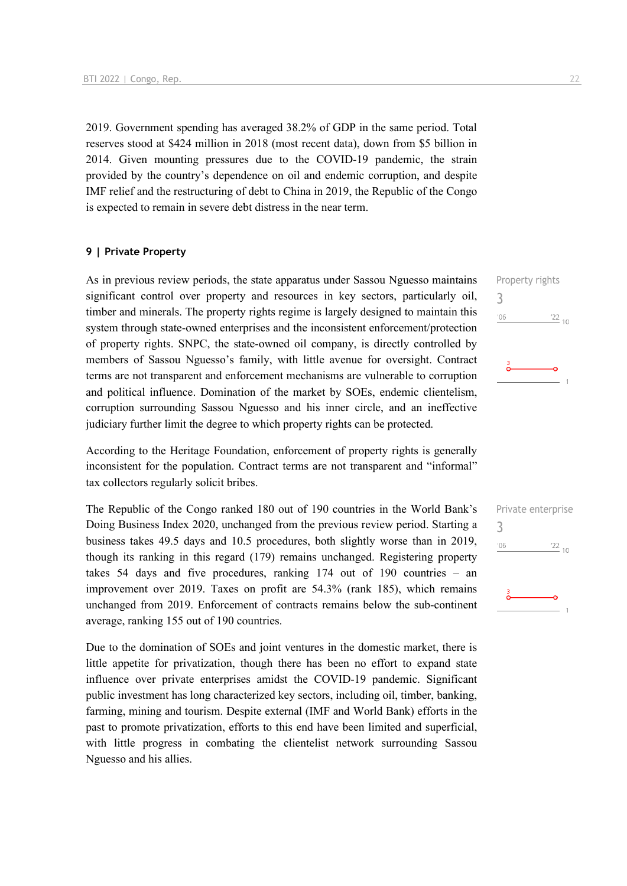2019. Government spending has averaged 38.2% of GDP in the same period. Total reserves stood at \$424 million in 2018 (most recent data), down from \$5 billion in 2014. Given mounting pressures due to the COVID-19 pandemic, the strain provided by the country's dependence on oil and endemic corruption, and despite IMF relief and the restructuring of debt to China in 2019, the Republic of the Congo is expected to remain in severe debt distress in the near term.

### **9 | Private Property**

As in previous review periods, the state apparatus under Sassou Nguesso maintains significant control over property and resources in key sectors, particularly oil, timber and minerals. The property rights regime is largely designed to maintain this system through state-owned enterprises and the inconsistent enforcement/protection of property rights. SNPC, the state-owned oil company, is directly controlled by members of Sassou Nguesso's family, with little avenue for oversight. Contract terms are not transparent and enforcement mechanisms are vulnerable to corruption and political influence. Domination of the market by SOEs, endemic clientelism, corruption surrounding Sassou Nguesso and his inner circle, and an ineffective judiciary further limit the degree to which property rights can be protected.

According to the Heritage Foundation, enforcement of property rights is generally inconsistent for the population. Contract terms are not transparent and "informal" tax collectors regularly solicit bribes.

The Republic of the Congo ranked 180 out of 190 countries in the World Bank's Doing Business Index 2020, unchanged from the previous review period. Starting a business takes 49.5 days and 10.5 procedures, both slightly worse than in 2019, though its ranking in this regard (179) remains unchanged. Registering property takes 54 days and five procedures, ranking 174 out of 190 countries – an improvement over 2019. Taxes on profit are 54.3% (rank 185), which remains unchanged from 2019. Enforcement of contracts remains below the sub-continent average, ranking 155 out of 190 countries.

Due to the domination of SOEs and joint ventures in the domestic market, there is little appetite for privatization, though there has been no effort to expand state influence over private enterprises amidst the COVID-19 pandemic. Significant public investment has long characterized key sectors, including oil, timber, banking, farming, mining and tourism. Despite external (IMF and World Bank) efforts in the past to promote privatization, efforts to this end have been limited and superficial, with little progress in combating the clientelist network surrounding Sassou Nguesso and his allies.

Property rights 3  $\frac{22}{10}$  $'06$ 

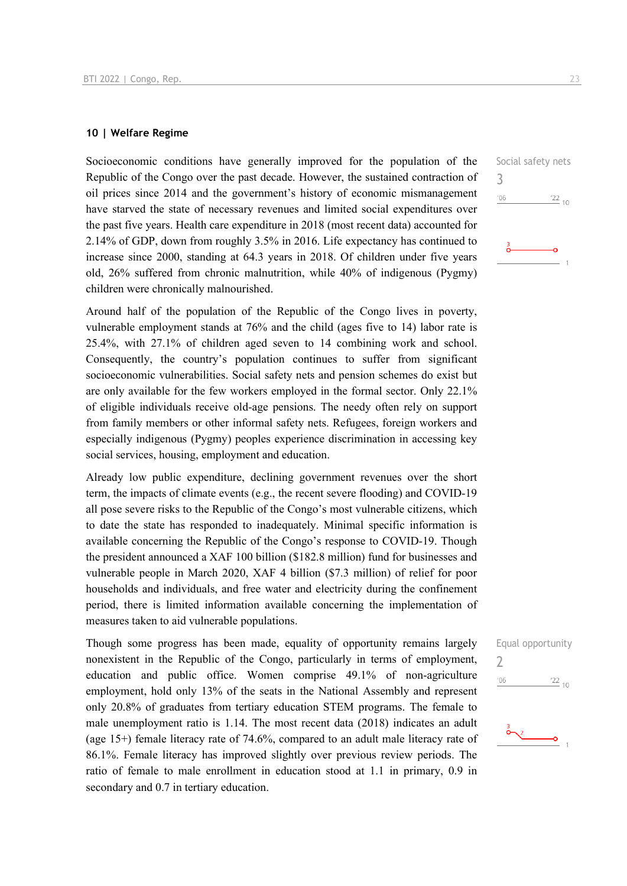### **10 | Welfare Regime**

Socioeconomic conditions have generally improved for the population of the Republic of the Congo over the past decade. However, the sustained contraction of oil prices since 2014 and the government's history of economic mismanagement have starved the state of necessary revenues and limited social expenditures over the past five years. Health care expenditure in 2018 (most recent data) accounted for 2.14% of GDP, down from roughly 3.5% in 2016. Life expectancy has continued to increase since 2000, standing at 64.3 years in 2018. Of children under five years old, 26% suffered from chronic malnutrition, while 40% of indigenous (Pygmy) children were chronically malnourished.

Around half of the population of the Republic of the Congo lives in poverty, vulnerable employment stands at 76% and the child (ages five to 14) labor rate is 25.4%, with 27.1% of children aged seven to 14 combining work and school. Consequently, the country's population continues to suffer from significant socioeconomic vulnerabilities. Social safety nets and pension schemes do exist but are only available for the few workers employed in the formal sector. Only 22.1% of eligible individuals receive old-age pensions. The needy often rely on support from family members or other informal safety nets. Refugees, foreign workers and especially indigenous (Pygmy) peoples experience discrimination in accessing key social services, housing, employment and education.

Already low public expenditure, declining government revenues over the short term, the impacts of climate events (e.g., the recent severe flooding) and COVID-19 all pose severe risks to the Republic of the Congo's most vulnerable citizens, which to date the state has responded to inadequately. Minimal specific information is available concerning the Republic of the Congo's response to COVID-19. Though the president announced a XAF 100 billion (\$182.8 million) fund for businesses and vulnerable people in March 2020, XAF 4 billion (\$7.3 million) of relief for poor households and individuals, and free water and electricity during the confinement period, there is limited information available concerning the implementation of measures taken to aid vulnerable populations.

Though some progress has been made, equality of opportunity remains largely nonexistent in the Republic of the Congo, particularly in terms of employment, education and public office. Women comprise 49.1% of non-agriculture employment, hold only 13% of the seats in the National Assembly and represent only 20.8% of graduates from tertiary education STEM programs. The female to male unemployment ratio is 1.14. The most recent data (2018) indicates an adult (age 15+) female literacy rate of 74.6%, compared to an adult male literacy rate of 86.1%. Female literacy has improved slightly over previous review periods. The ratio of female to male enrollment in education stood at 1.1 in primary, 0.9 in secondary and 0.7 in tertiary education.



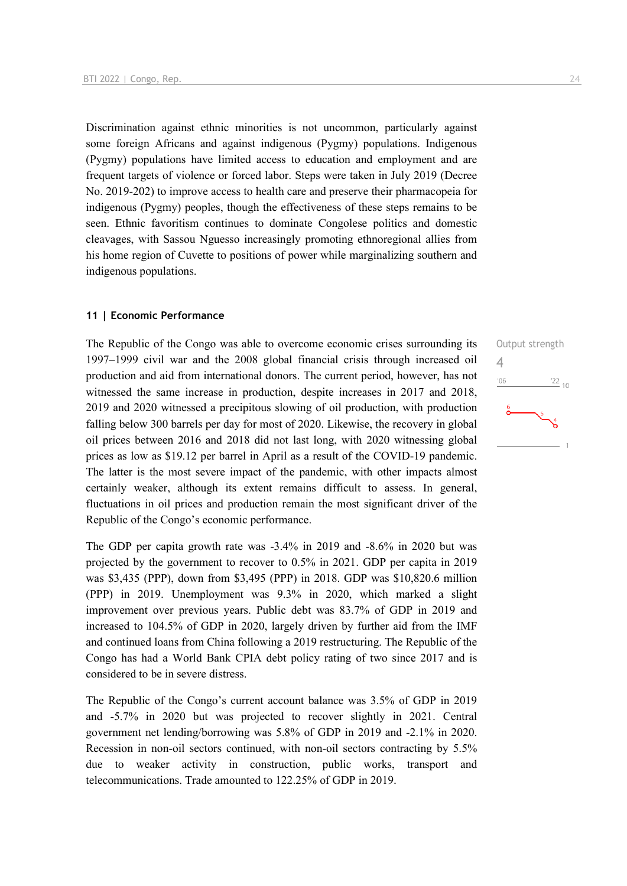Discrimination against ethnic minorities is not uncommon, particularly against some foreign Africans and against indigenous (Pygmy) populations. Indigenous (Pygmy) populations have limited access to education and employment and are frequent targets of violence or forced labor. Steps were taken in July 2019 (Decree No. 2019-202) to improve access to health care and preserve their pharmacopeia for indigenous (Pygmy) peoples, though the effectiveness of these steps remains to be seen. Ethnic favoritism continues to dominate Congolese politics and domestic cleavages, with Sassou Nguesso increasingly promoting ethnoregional allies from his home region of Cuvette to positions of power while marginalizing southern and indigenous populations.

### **11 | Economic Performance**

The Republic of the Congo was able to overcome economic crises surrounding its 1997–1999 civil war and the 2008 global financial crisis through increased oil production and aid from international donors. The current period, however, has not witnessed the same increase in production, despite increases in 2017 and 2018, 2019 and 2020 witnessed a precipitous slowing of oil production, with production falling below 300 barrels per day for most of 2020. Likewise, the recovery in global oil prices between 2016 and 2018 did not last long, with 2020 witnessing global prices as low as \$19.12 per barrel in April as a result of the COVID-19 pandemic. The latter is the most severe impact of the pandemic, with other impacts almost certainly weaker, although its extent remains difficult to assess. In general, fluctuations in oil prices and production remain the most significant driver of the Republic of the Congo's economic performance.

The GDP per capita growth rate was -3.4% in 2019 and -8.6% in 2020 but was projected by the government to recover to 0.5% in 2021. GDP per capita in 2019 was \$3,435 (PPP), down from \$3,495 (PPP) in 2018. GDP was \$10,820.6 million (PPP) in 2019. Unemployment was 9.3% in 2020, which marked a slight improvement over previous years. Public debt was 83.7% of GDP in 2019 and increased to 104.5% of GDP in 2020, largely driven by further aid from the IMF and continued loans from China following a 2019 restructuring. The Republic of the Congo has had a World Bank CPIA debt policy rating of two since 2017 and is considered to be in severe distress.

The Republic of the Congo's current account balance was 3.5% of GDP in 2019 and -5.7% in 2020 but was projected to recover slightly in 2021. Central government net lending/borrowing was 5.8% of GDP in 2019 and -2.1% in 2020. Recession in non-oil sectors continued, with non-oil sectors contracting by 5.5% due to weaker activity in construction, public works, transport and telecommunications. Trade amounted to 122.25% of GDP in 2019.

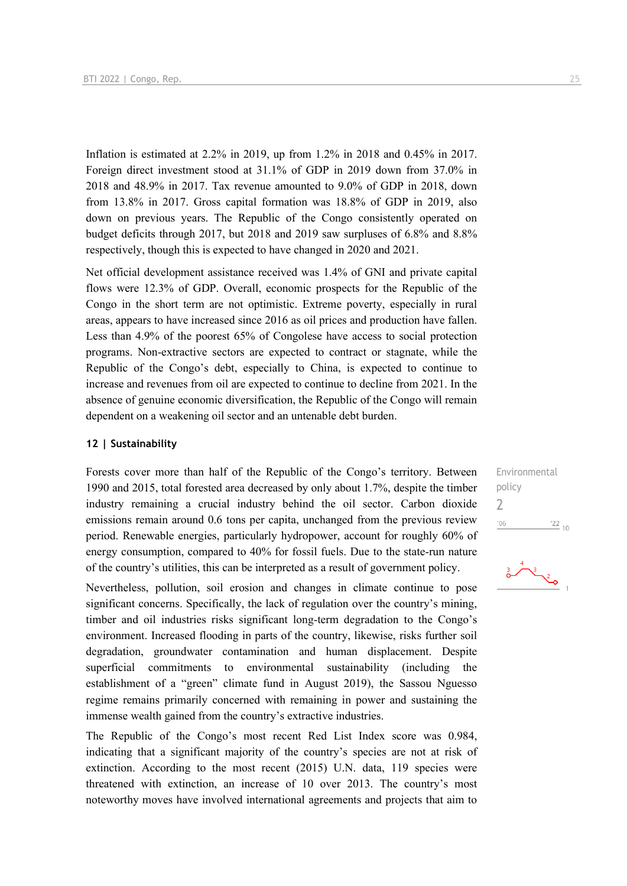Inflation is estimated at 2.2% in 2019, up from 1.2% in 2018 and 0.45% in 2017. Foreign direct investment stood at 31.1% of GDP in 2019 down from 37.0% in 2018 and 48.9% in 2017. Tax revenue amounted to 9.0% of GDP in 2018, down from 13.8% in 2017. Gross capital formation was 18.8% of GDP in 2019, also down on previous years. The Republic of the Congo consistently operated on budget deficits through 2017, but 2018 and 2019 saw surpluses of 6.8% and 8.8% respectively, though this is expected to have changed in 2020 and 2021.

Net official development assistance received was 1.4% of GNI and private capital flows were 12.3% of GDP. Overall, economic prospects for the Republic of the Congo in the short term are not optimistic. Extreme poverty, especially in rural areas, appears to have increased since 2016 as oil prices and production have fallen. Less than 4.9% of the poorest 65% of Congolese have access to social protection programs. Non-extractive sectors are expected to contract or stagnate, while the Republic of the Congo's debt, especially to China, is expected to continue to increase and revenues from oil are expected to continue to decline from 2021. In the absence of genuine economic diversification, the Republic of the Congo will remain dependent on a weakening oil sector and an untenable debt burden.

### **12 | Sustainability**

Forests cover more than half of the Republic of the Congo's territory. Between 1990 and 2015, total forested area decreased by only about 1.7%, despite the timber industry remaining a crucial industry behind the oil sector. Carbon dioxide emissions remain around 0.6 tons per capita, unchanged from the previous review period. Renewable energies, particularly hydropower, account for roughly 60% of energy consumption, compared to 40% for fossil fuels. Due to the state-run nature of the country's utilities, this can be interpreted as a result of government policy.

Nevertheless, pollution, soil erosion and changes in climate continue to pose significant concerns. Specifically, the lack of regulation over the country's mining, timber and oil industries risks significant long-term degradation to the Congo's environment. Increased flooding in parts of the country, likewise, risks further soil degradation, groundwater contamination and human displacement. Despite superficial commitments to environmental sustainability (including the establishment of a "green" climate fund in August 2019), the Sassou Nguesso regime remains primarily concerned with remaining in power and sustaining the immense wealth gained from the country's extractive industries.

The Republic of the Congo's most recent Red List Index score was 0.984, indicating that a significant majority of the country's species are not at risk of extinction. According to the most recent (2015) U.N. data, 119 species were threatened with extinction, an increase of 10 over 2013. The country's most noteworthy moves have involved international agreements and projects that aim to

Environmental policy 2 $^{\prime}06$  $122_{10}$ 

$$
\begin{array}{c}\n \stackrel{3}{\bigcirc} \stackrel{4}{\bigcirc} \stackrel{3}{\bigcirc} \stackrel{2}{\bigcirc} \stackrel{1}{\bigcirc}
$$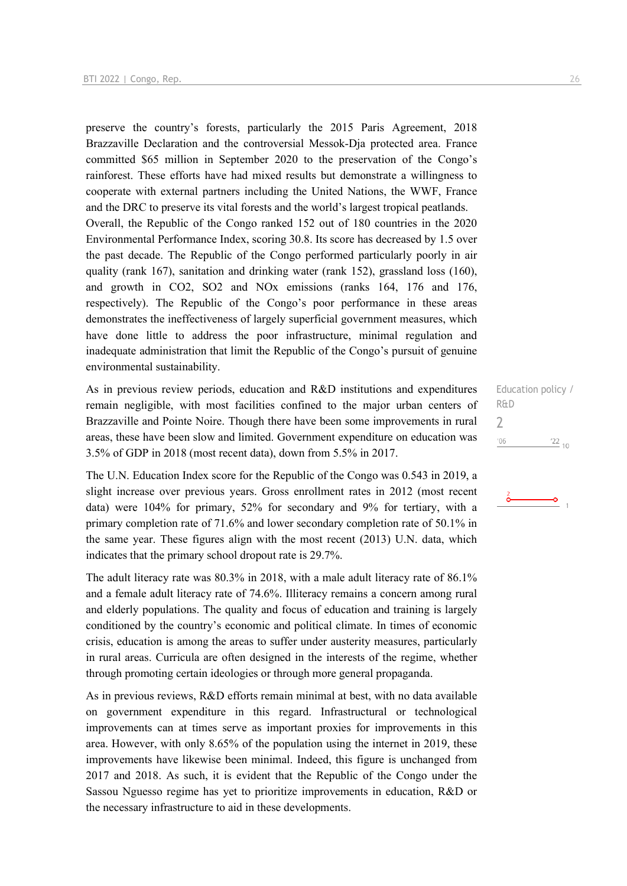preserve the country's forests, particularly the 2015 Paris Agreement, 2018 Brazzaville Declaration and the controversial Messok-Dja protected area. France committed \$65 million in September 2020 to the preservation of the Congo's rainforest. These efforts have had mixed results but demonstrate a willingness to cooperate with external partners including the United Nations, the WWF, France and the DRC to preserve its vital forests and the world's largest tropical peatlands. Overall, the Republic of the Congo ranked 152 out of 180 countries in the 2020 Environmental Performance Index, scoring 30.8. Its score has decreased by 1.5 over the past decade. The Republic of the Congo performed particularly poorly in air quality (rank 167), sanitation and drinking water (rank 152), grassland loss (160), and growth in CO2, SO2 and NOx emissions (ranks 164, 176 and 176, respectively). The Republic of the Congo's poor performance in these areas demonstrates the ineffectiveness of largely superficial government measures, which have done little to address the poor infrastructure, minimal regulation and inadequate administration that limit the Republic of the Congo's pursuit of genuine environmental sustainability.

As in previous review periods, education and R&D institutions and expenditures remain negligible, with most facilities confined to the major urban centers of Brazzaville and Pointe Noire. Though there have been some improvements in rural areas, these have been slow and limited. Government expenditure on education was 3.5% of GDP in 2018 (most recent data), down from 5.5% in 2017.

The U.N. Education Index score for the Republic of the Congo was 0.543 in 2019, a slight increase over previous years. Gross enrollment rates in 2012 (most recent data) were 104% for primary, 52% for secondary and 9% for tertiary, with a primary completion rate of 71.6% and lower secondary completion rate of 50.1% in the same year. These figures align with the most recent (2013) U.N. data, which indicates that the primary school dropout rate is 29.7%.

The adult literacy rate was 80.3% in 2018, with a male adult literacy rate of 86.1% and a female adult literacy rate of 74.6%. Illiteracy remains a concern among rural and elderly populations. The quality and focus of education and training is largely conditioned by the country's economic and political climate. In times of economic crisis, education is among the areas to suffer under austerity measures, particularly in rural areas. Curricula are often designed in the interests of the regime, whether through promoting certain ideologies or through more general propaganda.

As in previous reviews, R&D efforts remain minimal at best, with no data available on government expenditure in this regard. Infrastructural or technological improvements can at times serve as important proxies for improvements in this area. However, with only 8.65% of the population using the internet in 2019, these improvements have likewise been minimal. Indeed, this figure is unchanged from 2017 and 2018. As such, it is evident that the Republic of the Congo under the Sassou Nguesso regime has yet to prioritize improvements in education, R&D or the necessary infrastructure to aid in these developments.

Education policy / R&D  $\overline{\phantom{0}}$  $'06$  $122_{10}$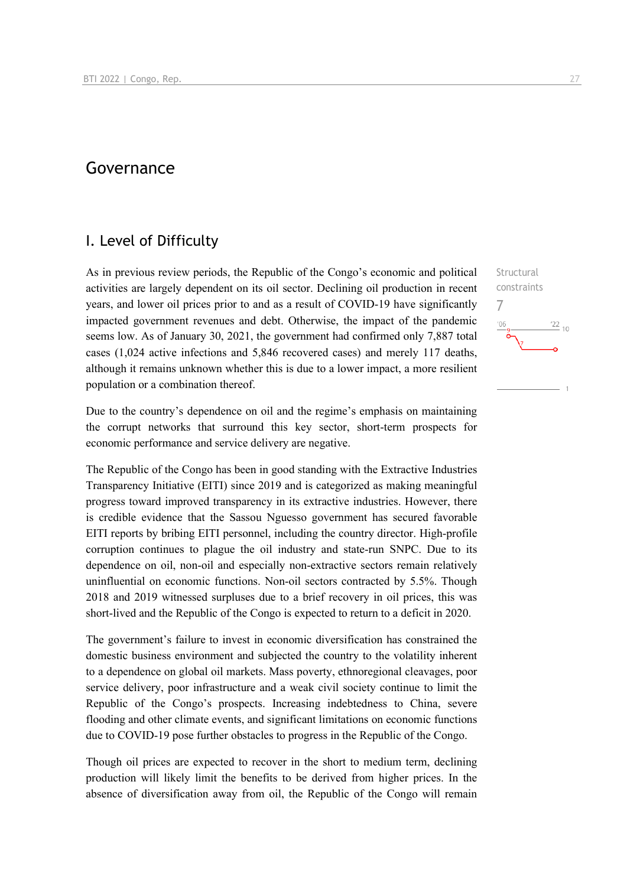### Governance

### I. Level of Difficulty

As in previous review periods, the Republic of the Congo's economic and political activities are largely dependent on its oil sector. Declining oil production in recent years, and lower oil prices prior to and as a result of COVID-19 have significantly impacted government revenues and debt. Otherwise, the impact of the pandemic seems low. As of January 30, 2021, the government had confirmed only 7,887 total cases (1,024 active infections and 5,846 recovered cases) and merely 117 deaths, although it remains unknown whether this is due to a lower impact, a more resilient population or a combination thereof.

Due to the country's dependence on oil and the regime's emphasis on maintaining the corrupt networks that surround this key sector, short-term prospects for economic performance and service delivery are negative.

The Republic of the Congo has been in good standing with the Extractive Industries Transparency Initiative (EITI) since 2019 and is categorized as making meaningful progress toward improved transparency in its extractive industries. However, there is credible evidence that the Sassou Nguesso government has secured favorable EITI reports by bribing EITI personnel, including the country director. High-profile corruption continues to plague the oil industry and state-run SNPC. Due to its dependence on oil, non-oil and especially non-extractive sectors remain relatively uninfluential on economic functions. Non-oil sectors contracted by 5.5%. Though 2018 and 2019 witnessed surpluses due to a brief recovery in oil prices, this was short-lived and the Republic of the Congo is expected to return to a deficit in 2020.

The government's failure to invest in economic diversification has constrained the domestic business environment and subjected the country to the volatility inherent to a dependence on global oil markets. Mass poverty, ethnoregional cleavages, poor service delivery, poor infrastructure and a weak civil society continue to limit the Republic of the Congo's prospects. Increasing indebtedness to China, severe flooding and other climate events, and significant limitations on economic functions due to COVID-19 pose further obstacles to progress in the Republic of the Congo.

Though oil prices are expected to recover in the short to medium term, declining production will likely limit the benefits to be derived from higher prices. In the absence of diversification away from oil, the Republic of the Congo will remain

**Structural** constraints

 $\frac{22}{10}$ 

7

 $10<sup>1</sup>$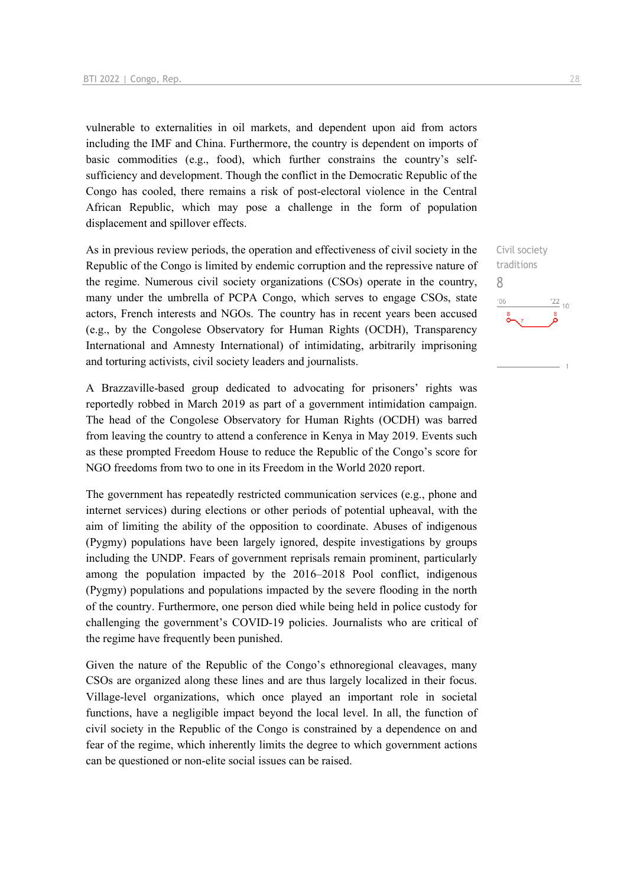vulnerable to externalities in oil markets, and dependent upon aid from actors including the IMF and China. Furthermore, the country is dependent on imports of basic commodities (e.g., food), which further constrains the country's selfsufficiency and development. Though the conflict in the Democratic Republic of the Congo has cooled, there remains a risk of post-electoral violence in the Central African Republic, which may pose a challenge in the form of population displacement and spillover effects.

As in previous review periods, the operation and effectiveness of civil society in the Republic of the Congo is limited by endemic corruption and the repressive nature of the regime. Numerous civil society organizations (CSOs) operate in the country, many under the umbrella of PCPA Congo, which serves to engage CSOs, state actors, French interests and NGOs. The country has in recent years been accused (e.g., by the Congolese Observatory for Human Rights (OCDH), Transparency International and Amnesty International) of intimidating, arbitrarily imprisoning and torturing activists, civil society leaders and journalists.

A Brazzaville-based group dedicated to advocating for prisoners' rights was reportedly robbed in March 2019 as part of a government intimidation campaign. The head of the Congolese Observatory for Human Rights (OCDH) was barred from leaving the country to attend a conference in Kenya in May 2019. Events such as these prompted Freedom House to reduce the Republic of the Congo's score for NGO freedoms from two to one in its Freedom in the World 2020 report.

The government has repeatedly restricted communication services (e.g., phone and internet services) during elections or other periods of potential upheaval, with the aim of limiting the ability of the opposition to coordinate. Abuses of indigenous (Pygmy) populations have been largely ignored, despite investigations by groups including the UNDP. Fears of government reprisals remain prominent, particularly among the population impacted by the 2016–2018 Pool conflict, indigenous (Pygmy) populations and populations impacted by the severe flooding in the north of the country. Furthermore, one person died while being held in police custody for challenging the government's COVID-19 policies. Journalists who are critical of the regime have frequently been punished.

Given the nature of the Republic of the Congo's ethnoregional cleavages, many CSOs are organized along these lines and are thus largely localized in their focus. Village-level organizations, which once played an important role in societal functions, have a negligible impact beyond the local level. In all, the function of civil society in the Republic of the Congo is constrained by a dependence on and fear of the regime, which inherently limits the degree to which government actions can be questioned or non-elite social issues can be raised.

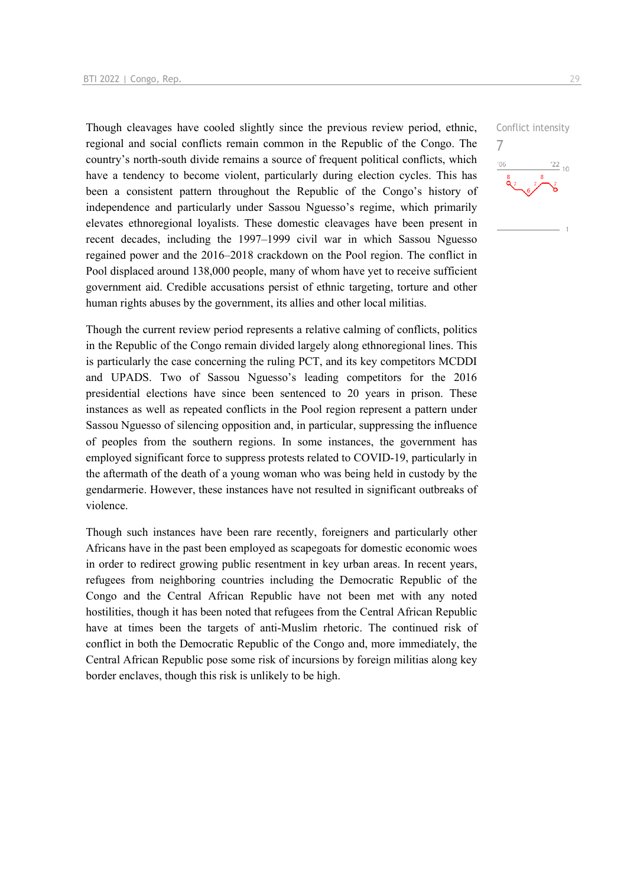Though cleavages have cooled slightly since the previous review period, ethnic, regional and social conflicts remain common in the Republic of the Congo. The country's north-south divide remains a source of frequent political conflicts, which have a tendency to become violent, particularly during election cycles. This has been a consistent pattern throughout the Republic of the Congo's history of independence and particularly under Sassou Nguesso's regime, which primarily elevates ethnoregional loyalists. These domestic cleavages have been present in recent decades, including the 1997–1999 civil war in which Sassou Nguesso regained power and the 2016–2018 crackdown on the Pool region. The conflict in Pool displaced around 138,000 people, many of whom have yet to receive sufficient government aid. Credible accusations persist of ethnic targeting, torture and other human rights abuses by the government, its allies and other local militias.

Though the current review period represents a relative calming of conflicts, politics in the Republic of the Congo remain divided largely along ethnoregional lines. This is particularly the case concerning the ruling PCT, and its key competitors MCDDI and UPADS. Two of Sassou Nguesso's leading competitors for the 2016 presidential elections have since been sentenced to 20 years in prison. These instances as well as repeated conflicts in the Pool region represent a pattern under Sassou Nguesso of silencing opposition and, in particular, suppressing the influence of peoples from the southern regions. In some instances, the government has employed significant force to suppress protests related to COVID-19, particularly in the aftermath of the death of a young woman who was being held in custody by the gendarmerie. However, these instances have not resulted in significant outbreaks of violence.

Though such instances have been rare recently, foreigners and particularly other Africans have in the past been employed as scapegoats for domestic economic woes in order to redirect growing public resentment in key urban areas. In recent years, refugees from neighboring countries including the Democratic Republic of the Congo and the Central African Republic have not been met with any noted hostilities, though it has been noted that refugees from the Central African Republic have at times been the targets of anti-Muslim rhetoric. The continued risk of conflict in both the Democratic Republic of the Congo and, more immediately, the Central African Republic pose some risk of incursions by foreign militias along key border enclaves, though this risk is unlikely to be high.

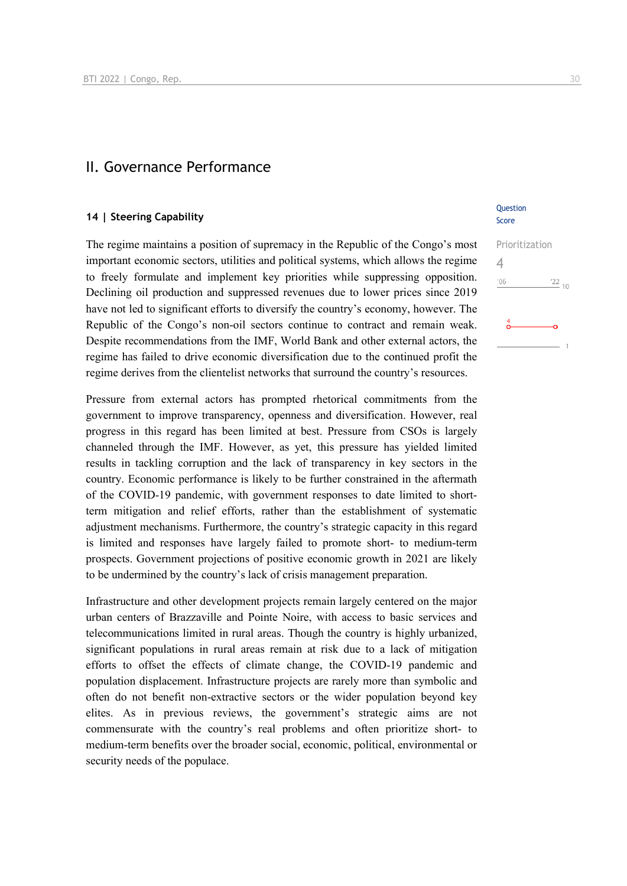### II. Governance Performance

### **14 | Steering Capability**

The regime maintains a position of supremacy in the Republic of the Congo's most important economic sectors, utilities and political systems, which allows the regime to freely formulate and implement key priorities while suppressing opposition. Declining oil production and suppressed revenues due to lower prices since 2019 have not led to significant efforts to diversify the country's economy, however. The Republic of the Congo's non-oil sectors continue to contract and remain weak. Despite recommendations from the IMF, World Bank and other external actors, the regime has failed to drive economic diversification due to the continued profit the regime derives from the clientelist networks that surround the country's resources.

Pressure from external actors has prompted rhetorical commitments from the government to improve transparency, openness and diversification. However, real progress in this regard has been limited at best. Pressure from CSOs is largely channeled through the IMF. However, as yet, this pressure has yielded limited results in tackling corruption and the lack of transparency in key sectors in the country. Economic performance is likely to be further constrained in the aftermath of the COVID-19 pandemic, with government responses to date limited to shortterm mitigation and relief efforts, rather than the establishment of systematic adjustment mechanisms. Furthermore, the country's strategic capacity in this regard is limited and responses have largely failed to promote short- to medium-term prospects. Government projections of positive economic growth in 2021 are likely to be undermined by the country's lack of crisis management preparation.

Infrastructure and other development projects remain largely centered on the major urban centers of Brazzaville and Pointe Noire, with access to basic services and telecommunications limited in rural areas. Though the country is highly urbanized, significant populations in rural areas remain at risk due to a lack of mitigation efforts to offset the effects of climate change, the COVID-19 pandemic and population displacement. Infrastructure projects are rarely more than symbolic and often do not benefit non-extractive sectors or the wider population beyond key elites. As in previous reviews, the government's strategic aims are not commensurate with the country's real problems and often prioritize short- to medium-term benefits over the broader social, economic, political, environmental or security needs of the populace.

### **Ouestion** Score

| Prioritization |                  |
|----------------|------------------|
|                |                  |
| $^{\prime}06$  | $\frac{122}{10}$ |
|                |                  |
| 4              |                  |
|                |                  |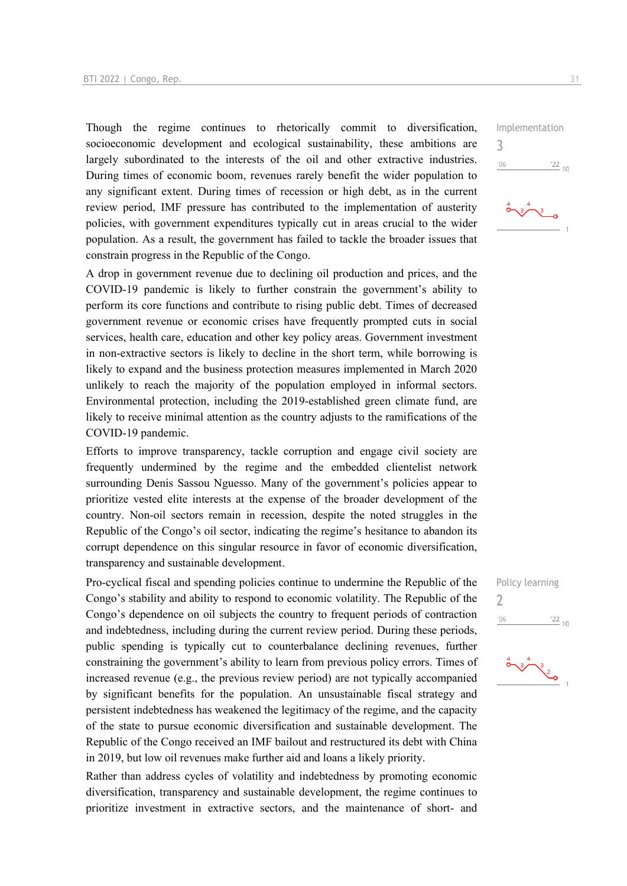Though the regime continues to rhetorically commit to diversification, socioeconomic development and ecological sustainability, these ambitions are largely subordinated to the interests of the oil and other extractive industries. During times of economic boom, revenues rarely benefit the wider population to any significant extent. During times of recession or high debt, as in the current review period, IMF pressure has contributed to the implementation of austerity policies, with government expenditures typically cut in areas crucial to the wider population. As a result, the government has failed to tackle the broader issues that constrain progress in the Republic of the Congo.

A drop in government revenue due to declining oil production and prices, and the COVID-19 pandemic is likely to further constrain the government's ability to perform its core functions and contribute to rising public debt. Times of decreased government revenue or economic crises have frequently prompted cuts in social services, health care, education and other key policy areas. Government investment in non-extractive sectors is likely to decline in the short term, while borrowing is likely to expand and the business protection measures implemented in March 2020 unlikely to reach the majority of the population employed in informal sectors. Environmental protection, including the 2019-established green climate fund, are likely to receive minimal attention as the country adjusts to the ramifications of the COVID-19 pandemic.

Efforts to improve transparency, tackle corruption and engage civil society are frequently undermined by the regime and the embedded clientelist network surrounding Denis Sassou Nguesso. Many of the government's policies appear to prioritize vested elite interests at the expense of the broader development of the country. Non-oil sectors remain in recession, despite the noted struggles in the Republic of the Congo's oil sector, indicating the regime's hesitance to abandon its corrupt dependence on this singular resource in favor of economic diversification, transparency and sustainable development.

Pro-cyclical fiscal and spending policies continue to undermine the Republic of the Congo's stability and ability to respond to economic volatility. The Republic of the Congo's dependence on oil subjects the country to frequent periods of contraction and indebtedness, including during the current review period. During these periods, public spending is typically cut to counterbalance declining revenues, further constraining the government's ability to learn from previous policy errors. Times of increased revenue (e.g., the previous review period) are not typically accompanied by significant benefits for the population. An unsustainable fiscal strategy and persistent indebtedness has weakened the legitimacy of the regime, and the capacity of the state to pursue economic diversification and sustainable development. The Republic of the Congo received an IMF bailout and restructured its debt with China in 2019, but low oil revenues make further aid and loans a likely priority.

Rather than address cycles of volatility and indebtedness by promoting economic diversification, transparency and sustainable development, the regime continues to prioritize investment in extractive sectors, and the maintenance of short- and

Implementation 3  $06'$  $\frac{22}{10}$ 



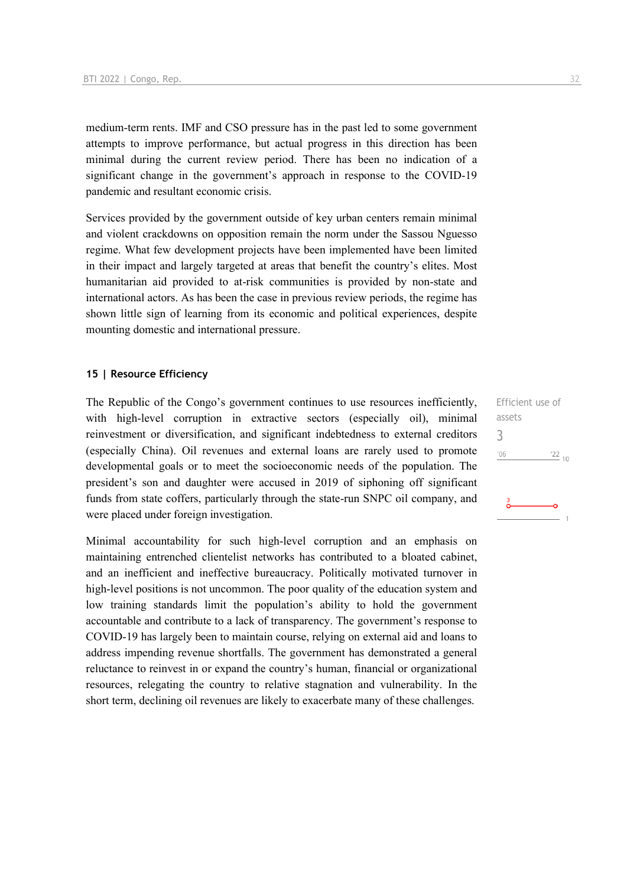medium-term rents. IMF and CSO pressure has in the past led to some government attempts to improve performance, but actual progress in this direction has been minimal during the current review period. There has been no indication of a significant change in the government's approach in response to the COVID-19 pandemic and resultant economic crisis.

Services provided by the government outside of key urban centers remain minimal and violent crackdowns on opposition remain the norm under the Sassou Nguesso regime. What few development projects have been implemented have been limited in their impact and largely targeted at areas that benefit the country's elites. Most humanitarian aid provided to at-risk communities is provided by non-state and international actors. As has been the case in previous review periods, the regime has shown little sign of learning from its economic and political experiences, despite mounting domestic and international pressure.

### **15 | Resource Efficiency**

The Republic of the Congo's government continues to use resources inefficiently, with high-level corruption in extractive sectors (especially oil), minimal reinvestment or diversification, and significant indebtedness to external creditors (especially China). Oil revenues and external loans are rarely used to promote developmental goals or to meet the socioeconomic needs of the population. The president's son and daughter were accused in 2019 of siphoning off significant funds from state coffers, particularly through the state-run SNPC oil company, and were placed under foreign investigation.

Minimal accountability for such high-level corruption and an emphasis on maintaining entrenched clientelist networks has contributed to a bloated cabinet, and an inefficient and ineffective bureaucracy. Politically motivated turnover in high-level positions is not uncommon. The poor quality of the education system and low training standards limit the population's ability to hold the government accountable and contribute to a lack of transparency. The government's response to COVID-19 has largely been to maintain course, relying on external aid and loans to address impending revenue shortfalls. The government has demonstrated a general reluctance to reinvest in or expand the country's human, financial or organizational resources, relegating the country to relative stagnation and vulnerability. In the short term, declining oil revenues are likely to exacerbate many of these challenges.

Efficient use of assets 3 $106$  $^{22}$  10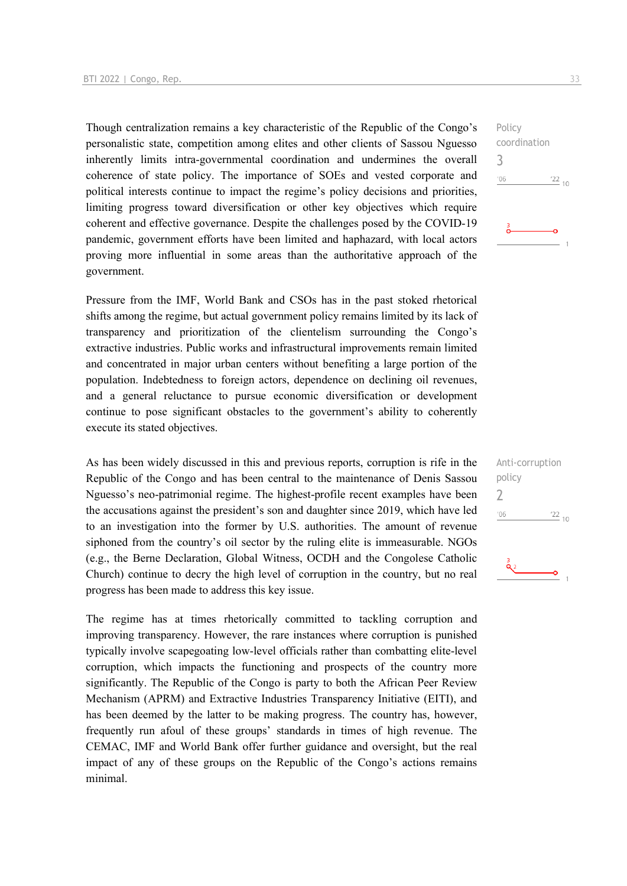Though centralization remains a key characteristic of the Republic of the Congo's personalistic state, competition among elites and other clients of Sassou Nguesso inherently limits intra-governmental coordination and undermines the overall coherence of state policy. The importance of SOEs and vested corporate and political interests continue to impact the regime's policy decisions and priorities, limiting progress toward diversification or other key objectives which require coherent and effective governance. Despite the challenges posed by the COVID-19 pandemic, government efforts have been limited and haphazard, with local actors proving more influential in some areas than the authoritative approach of the government.

Pressure from the IMF, World Bank and CSOs has in the past stoked rhetorical shifts among the regime, but actual government policy remains limited by its lack of transparency and prioritization of the clientelism surrounding the Congo's extractive industries. Public works and infrastructural improvements remain limited and concentrated in major urban centers without benefiting a large portion of the population. Indebtedness to foreign actors, dependence on declining oil revenues, and a general reluctance to pursue economic diversification or development continue to pose significant obstacles to the government's ability to coherently execute its stated objectives.

As has been widely discussed in this and previous reports, corruption is rife in the Republic of the Congo and has been central to the maintenance of Denis Sassou Nguesso's neo-patrimonial regime. The highest-profile recent examples have been the accusations against the president's son and daughter since 2019, which have led to an investigation into the former by U.S. authorities. The amount of revenue siphoned from the country's oil sector by the ruling elite is immeasurable. NGOs (e.g., the Berne Declaration, Global Witness, OCDH and the Congolese Catholic Church) continue to decry the high level of corruption in the country, but no real progress has been made to address this key issue.

The regime has at times rhetorically committed to tackling corruption and improving transparency. However, the rare instances where corruption is punished typically involve scapegoating low-level officials rather than combatting elite-level corruption, which impacts the functioning and prospects of the country more significantly. The Republic of the Congo is party to both the African Peer Review Mechanism (APRM) and Extractive Industries Transparency Initiative (EITI), and has been deemed by the latter to be making progress. The country has, however, frequently run afoul of these groups' standards in times of high revenue. The CEMAC, IMF and World Bank offer further guidance and oversight, but the real impact of any of these groups on the Republic of the Congo's actions remains minimal.



Policy coordination

| Anti-corruption |                 |  |
|-----------------|-----------------|--|
| policy          |                 |  |
|                 |                 |  |
| '06             | $\frac{22}{10}$ |  |
|                 |                 |  |
|                 |                 |  |
|                 |                 |  |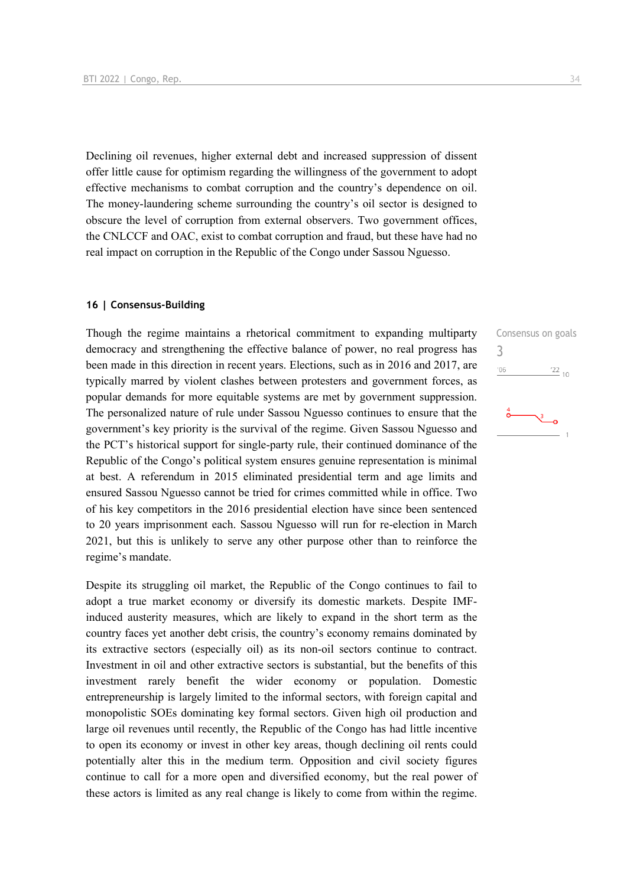Declining oil revenues, higher external debt and increased suppression of dissent offer little cause for optimism regarding the willingness of the government to adopt effective mechanisms to combat corruption and the country's dependence on oil. The money-laundering scheme surrounding the country's oil sector is designed to obscure the level of corruption from external observers. Two government offices, the CNLCCF and OAC, exist to combat corruption and fraud, but these have had no real impact on corruption in the Republic of the Congo under Sassou Nguesso.

### **16 | Consensus-Building**

Though the regime maintains a rhetorical commitment to expanding multiparty democracy and strengthening the effective balance of power, no real progress has been made in this direction in recent years. Elections, such as in 2016 and 2017, are typically marred by violent clashes between protesters and government forces, as popular demands for more equitable systems are met by government suppression. The personalized nature of rule under Sassou Nguesso continues to ensure that the government's key priority is the survival of the regime. Given Sassou Nguesso and the PCT's historical support for single-party rule, their continued dominance of the Republic of the Congo's political system ensures genuine representation is minimal at best. A referendum in 2015 eliminated presidential term and age limits and ensured Sassou Nguesso cannot be tried for crimes committed while in office. Two of his key competitors in the 2016 presidential election have since been sentenced to 20 years imprisonment each. Sassou Nguesso will run for re-election in March 2021, but this is unlikely to serve any other purpose other than to reinforce the regime's mandate.

Despite its struggling oil market, the Republic of the Congo continues to fail to adopt a true market economy or diversify its domestic markets. Despite IMFinduced austerity measures, which are likely to expand in the short term as the country faces yet another debt crisis, the country's economy remains dominated by its extractive sectors (especially oil) as its non-oil sectors continue to contract. Investment in oil and other extractive sectors is substantial, but the benefits of this investment rarely benefit the wider economy or population. Domestic entrepreneurship is largely limited to the informal sectors, with foreign capital and monopolistic SOEs dominating key formal sectors. Given high oil production and large oil revenues until recently, the Republic of the Congo has had little incentive to open its economy or invest in other key areas, though declining oil rents could potentially alter this in the medium term. Opposition and civil society figures continue to call for a more open and diversified economy, but the real power of these actors is limited as any real change is likely to come from within the regime.

Consensus on goals 3 $\frac{22}{10}$  $'06$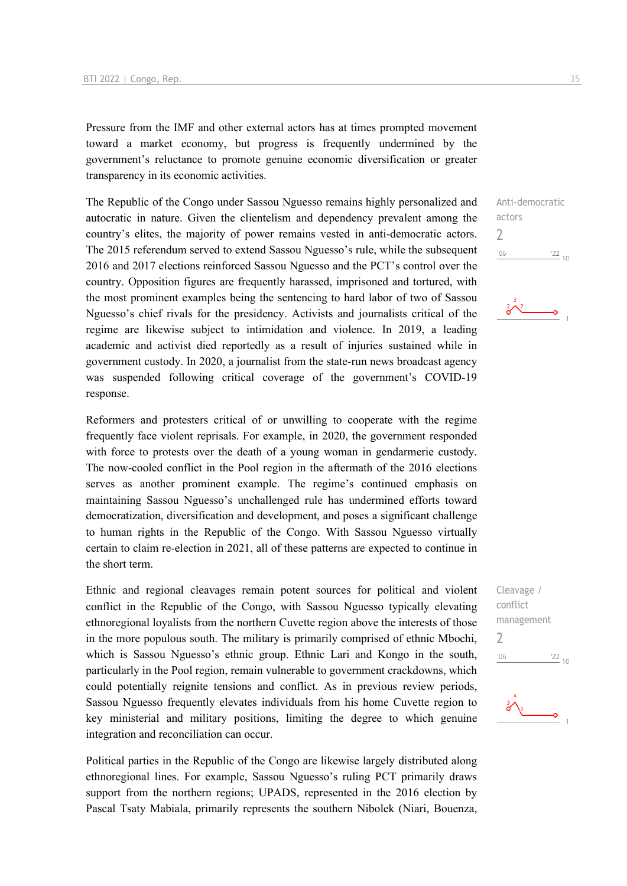Pressure from the IMF and other external actors has at times prompted movement toward a market economy, but progress is frequently undermined by the government's reluctance to promote genuine economic diversification or greater transparency in its economic activities.

The Republic of the Congo under Sassou Nguesso remains highly personalized and autocratic in nature. Given the clientelism and dependency prevalent among the country's elites, the majority of power remains vested in anti-democratic actors. The 2015 referendum served to extend Sassou Nguesso's rule, while the subsequent 2016 and 2017 elections reinforced Sassou Nguesso and the PCT's control over the country. Opposition figures are frequently harassed, imprisoned and tortured, with the most prominent examples being the sentencing to hard labor of two of Sassou Nguesso's chief rivals for the presidency. Activists and journalists critical of the regime are likewise subject to intimidation and violence. In 2019, a leading academic and activist died reportedly as a result of injuries sustained while in government custody. In 2020, a journalist from the state-run news broadcast agency was suspended following critical coverage of the government's COVID-19 response.

Reformers and protesters critical of or unwilling to cooperate with the regime frequently face violent reprisals. For example, in 2020, the government responded with force to protests over the death of a young woman in gendarmerie custody. The now-cooled conflict in the Pool region in the aftermath of the 2016 elections serves as another prominent example. The regime's continued emphasis on maintaining Sassou Nguesso's unchallenged rule has undermined efforts toward democratization, diversification and development, and poses a significant challenge to human rights in the Republic of the Congo. With Sassou Nguesso virtually certain to claim re-election in 2021, all of these patterns are expected to continue in the short term.

Ethnic and regional cleavages remain potent sources for political and violent conflict in the Republic of the Congo, with Sassou Nguesso typically elevating ethnoregional loyalists from the northern Cuvette region above the interests of those in the more populous south. The military is primarily comprised of ethnic Mbochi, which is Sassou Nguesso's ethnic group. Ethnic Lari and Kongo in the south, particularly in the Pool region, remain vulnerable to government crackdowns, which could potentially reignite tensions and conflict. As in previous review periods, Sassou Nguesso frequently elevates individuals from his home Cuvette region to key ministerial and military positions, limiting the degree to which genuine integration and reconciliation can occur.

Political parties in the Republic of the Congo are likewise largely distributed along ethnoregional lines. For example, Sassou Nguesso's ruling PCT primarily draws support from the northern regions; UPADS, represented in the 2016 election by Pascal Tsaty Mabiala, primarily represents the southern Nibolek (Niari, Bouenza,

 $\frac{22}{10}$ 

 $\overline{\phantom{0}}$ 

 $^{\prime}06$ 

Cleavage / conflict management  $\overline{\phantom{0}}$  $\frac{22}{10}$  $^{\prime}06$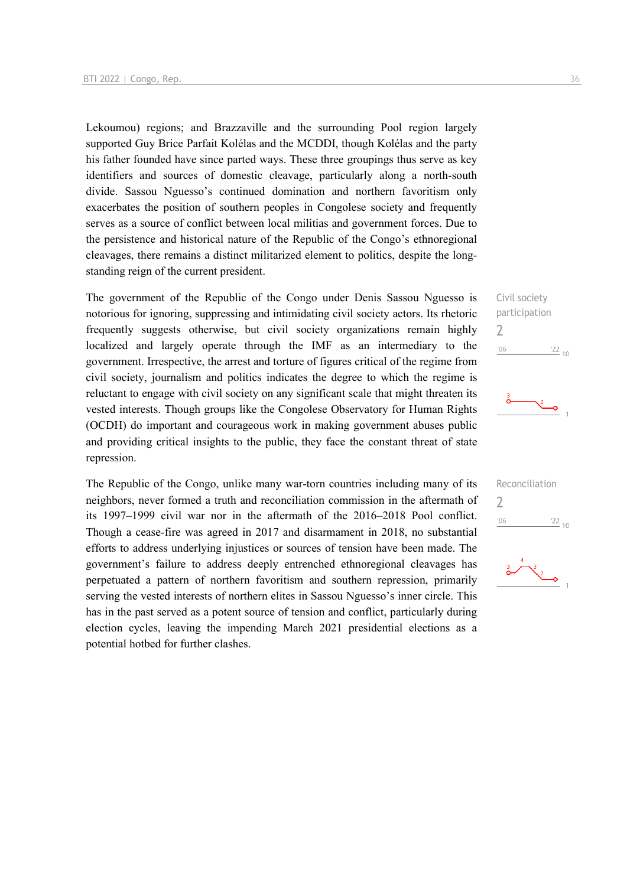Lekoumou) regions; and Brazzaville and the surrounding Pool region largely supported Guy Brice Parfait Kolélas and the MCDDI, though Kolélas and the party his father founded have since parted ways. These three groupings thus serve as key identifiers and sources of domestic cleavage, particularly along a north-south divide. Sassou Nguesso's continued domination and northern favoritism only exacerbates the position of southern peoples in Congolese society and frequently serves as a source of conflict between local militias and government forces. Due to the persistence and historical nature of the Republic of the Congo's ethnoregional cleavages, there remains a distinct militarized element to politics, despite the longstanding reign of the current president.

The government of the Republic of the Congo under Denis Sassou Nguesso is notorious for ignoring, suppressing and intimidating civil society actors. Its rhetoric frequently suggests otherwise, but civil society organizations remain highly localized and largely operate through the IMF as an intermediary to the government. Irrespective, the arrest and torture of figures critical of the regime from civil society, journalism and politics indicates the degree to which the regime is reluctant to engage with civil society on any significant scale that might threaten its vested interests. Though groups like the Congolese Observatory for Human Rights (OCDH) do important and courageous work in making government abuses public and providing critical insights to the public, they face the constant threat of state repression.

The Republic of the Congo, unlike many war-torn countries including many of its neighbors, never formed a truth and reconciliation commission in the aftermath of its 1997–1999 civil war nor in the aftermath of the 2016–2018 Pool conflict. Though a cease-fire was agreed in 2017 and disarmament in 2018, no substantial efforts to address underlying injustices or sources of tension have been made. The government's failure to address deeply entrenched ethnoregional cleavages has perpetuated a pattern of northern favoritism and southern repression, primarily serving the vested interests of northern elites in Sassou Nguesso's inner circle. This has in the past served as a potent source of tension and conflict, particularly during election cycles, leaving the impending March 2021 presidential elections as a potential hotbed for further clashes.

Civil society participation  $\overline{\phantom{0}}$  $\frac{22}{10}$  $'06$ 





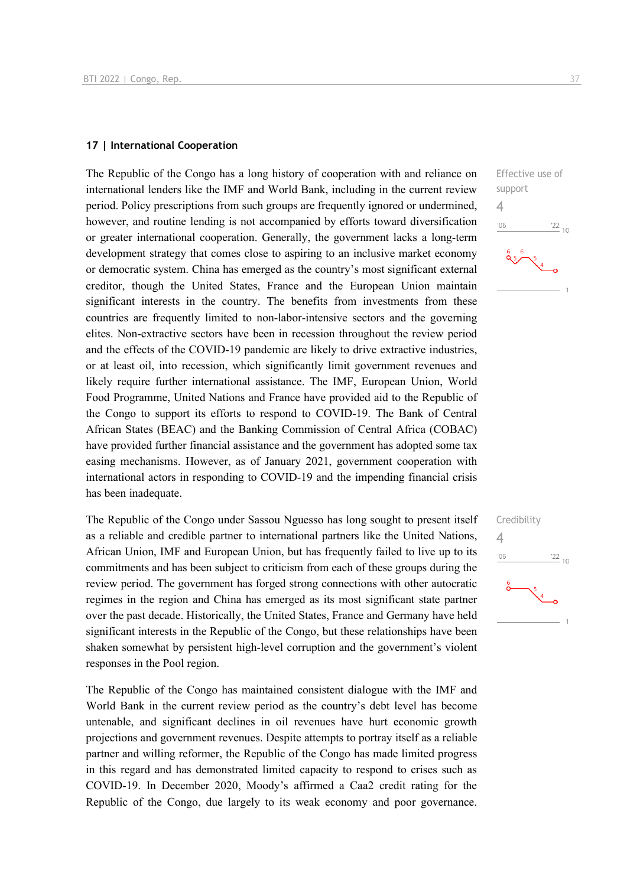### **17 | International Cooperation**

The Republic of the Congo has a long history of cooperation with and reliance on international lenders like the IMF and World Bank, including in the current review period. Policy prescriptions from such groups are frequently ignored or undermined, however, and routine lending is not accompanied by efforts toward diversification or greater international cooperation. Generally, the government lacks a long-term development strategy that comes close to aspiring to an inclusive market economy or democratic system. China has emerged as the country's most significant external creditor, though the United States, France and the European Union maintain significant interests in the country. The benefits from investments from these countries are frequently limited to non-labor-intensive sectors and the governing elites. Non-extractive sectors have been in recession throughout the review period and the effects of the COVID-19 pandemic are likely to drive extractive industries, or at least oil, into recession, which significantly limit government revenues and likely require further international assistance. The IMF, European Union, World Food Programme, United Nations and France have provided aid to the Republic of the Congo to support its efforts to respond to COVID-19. The Bank of Central African States (BEAC) and the Banking Commission of Central Africa (COBAC) have provided further financial assistance and the government has adopted some tax easing mechanisms. However, as of January 2021, government cooperation with international actors in responding to COVID-19 and the impending financial crisis has been inadequate.

The Republic of the Congo under Sassou Nguesso has long sought to present itself as a reliable and credible partner to international partners like the United Nations, African Union, IMF and European Union, but has frequently failed to live up to its commitments and has been subject to criticism from each of these groups during the review period. The government has forged strong connections with other autocratic regimes in the region and China has emerged as its most significant state partner over the past decade. Historically, the United States, France and Germany have held significant interests in the Republic of the Congo, but these relationships have been shaken somewhat by persistent high-level corruption and the government's violent responses in the Pool region.

The Republic of the Congo has maintained consistent dialogue with the IMF and World Bank in the current review period as the country's debt level has become untenable, and significant declines in oil revenues have hurt economic growth projections and government revenues. Despite attempts to portray itself as a reliable partner and willing reformer, the Republic of the Congo has made limited progress in this regard and has demonstrated limited capacity to respond to crises such as COVID-19. In December 2020, Moody's affirmed a Caa2 credit rating for the Republic of the Congo, due largely to its weak economy and poor governance. 4

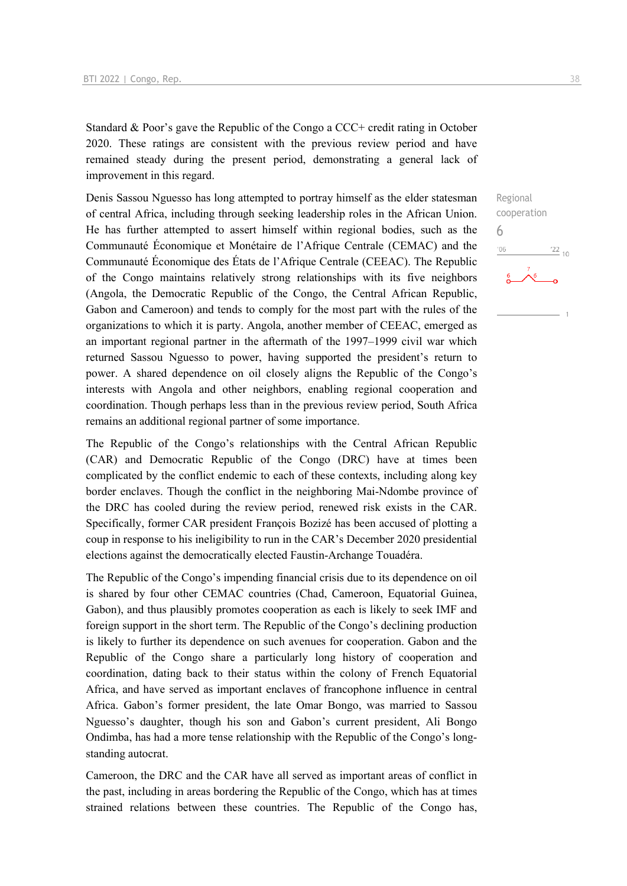Standard & Poor's gave the Republic of the Congo a CCC+ credit rating in October 2020. These ratings are consistent with the previous review period and have remained steady during the present period, demonstrating a general lack of improvement in this regard.

Denis Sassou Nguesso has long attempted to portray himself as the elder statesman of central Africa, including through seeking leadership roles in the African Union. He has further attempted to assert himself within regional bodies, such as the Communauté Économique et Monétaire de l'Afrique Centrale (CEMAC) and the Communauté Économique des États de l'Afrique Centrale (CEEAC). The Republic of the Congo maintains relatively strong relationships with its five neighbors (Angola, the Democratic Republic of the Congo, the Central African Republic, Gabon and Cameroon) and tends to comply for the most part with the rules of the organizations to which it is party. Angola, another member of CEEAC, emerged as an important regional partner in the aftermath of the 1997–1999 civil war which returned Sassou Nguesso to power, having supported the president's return to power. A shared dependence on oil closely aligns the Republic of the Congo's interests with Angola and other neighbors, enabling regional cooperation and coordination. Though perhaps less than in the previous review period, South Africa remains an additional regional partner of some importance.

The Republic of the Congo's relationships with the Central African Republic (CAR) and Democratic Republic of the Congo (DRC) have at times been complicated by the conflict endemic to each of these contexts, including along key border enclaves. Though the conflict in the neighboring Mai-Ndombe province of the DRC has cooled during the review period, renewed risk exists in the CAR. Specifically, former CAR president François Bozizé has been accused of plotting a coup in response to his ineligibility to run in the CAR's December 2020 presidential elections against the democratically elected Faustin-Archange Touadéra.

The Republic of the Congo's impending financial crisis due to its dependence on oil is shared by four other CEMAC countries (Chad, Cameroon, Equatorial Guinea, Gabon), and thus plausibly promotes cooperation as each is likely to seek IMF and foreign support in the short term. The Republic of the Congo's declining production is likely to further its dependence on such avenues for cooperation. Gabon and the Republic of the Congo share a particularly long history of cooperation and coordination, dating back to their status within the colony of French Equatorial Africa, and have served as important enclaves of francophone influence in central Africa. Gabon's former president, the late Omar Bongo, was married to Sassou Nguesso's daughter, though his son and Gabon's current president, Ali Bongo Ondimba, has had a more tense relationship with the Republic of the Congo's longstanding autocrat.

Cameroon, the DRC and the CAR have all served as important areas of conflict in the past, including in areas bordering the Republic of the Congo, which has at times strained relations between these countries. The Republic of the Congo has,

Regional cooperation 6 $06'$  $\frac{22}{10}$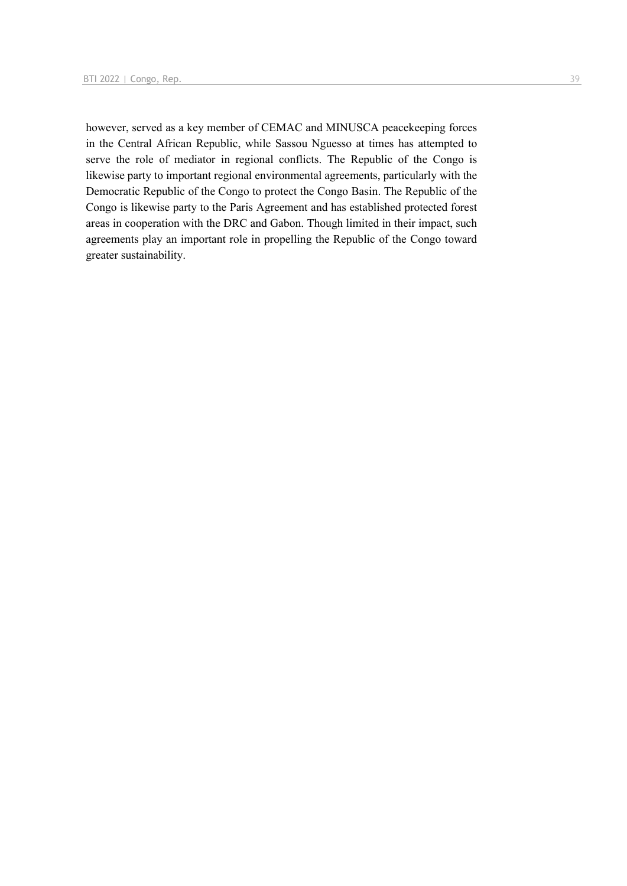however, served as a key member of CEMAC and MINUSCA peacekeeping forces in the Central African Republic, while Sassou Nguesso at times has attempted to serve the role of mediator in regional conflicts. The Republic of the Congo is likewise party to important regional environmental agreements, particularly with the Democratic Republic of the Congo to protect the Congo Basin. The Republic of the Congo is likewise party to the Paris Agreement and has established protected forest areas in cooperation with the DRC and Gabon. Though limited in their impact, such agreements play an important role in propelling the Republic of the Congo toward greater sustainability.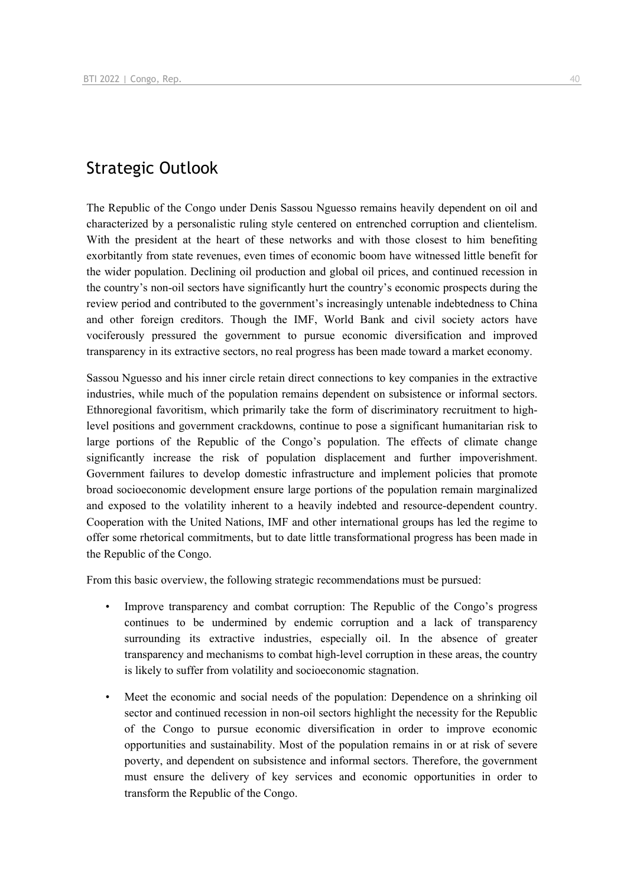### Strategic Outlook

The Republic of the Congo under Denis Sassou Nguesso remains heavily dependent on oil and characterized by a personalistic ruling style centered on entrenched corruption and clientelism. With the president at the heart of these networks and with those closest to him benefiting exorbitantly from state revenues, even times of economic boom have witnessed little benefit for the wider population. Declining oil production and global oil prices, and continued recession in the country's non-oil sectors have significantly hurt the country's economic prospects during the review period and contributed to the government's increasingly untenable indebtedness to China and other foreign creditors. Though the IMF, World Bank and civil society actors have vociferously pressured the government to pursue economic diversification and improved transparency in its extractive sectors, no real progress has been made toward a market economy.

Sassou Nguesso and his inner circle retain direct connections to key companies in the extractive industries, while much of the population remains dependent on subsistence or informal sectors. Ethnoregional favoritism, which primarily take the form of discriminatory recruitment to highlevel positions and government crackdowns, continue to pose a significant humanitarian risk to large portions of the Republic of the Congo's population. The effects of climate change significantly increase the risk of population displacement and further impoverishment. Government failures to develop domestic infrastructure and implement policies that promote broad socioeconomic development ensure large portions of the population remain marginalized and exposed to the volatility inherent to a heavily indebted and resource-dependent country. Cooperation with the United Nations, IMF and other international groups has led the regime to offer some rhetorical commitments, but to date little transformational progress has been made in the Republic of the Congo.

From this basic overview, the following strategic recommendations must be pursued:

- Improve transparency and combat corruption: The Republic of the Congo's progress continues to be undermined by endemic corruption and a lack of transparency surrounding its extractive industries, especially oil. In the absence of greater transparency and mechanisms to combat high-level corruption in these areas, the country is likely to suffer from volatility and socioeconomic stagnation.
- Meet the economic and social needs of the population: Dependence on a shrinking oil sector and continued recession in non-oil sectors highlight the necessity for the Republic of the Congo to pursue economic diversification in order to improve economic opportunities and sustainability. Most of the population remains in or at risk of severe poverty, and dependent on subsistence and informal sectors. Therefore, the government must ensure the delivery of key services and economic opportunities in order to transform the Republic of the Congo.